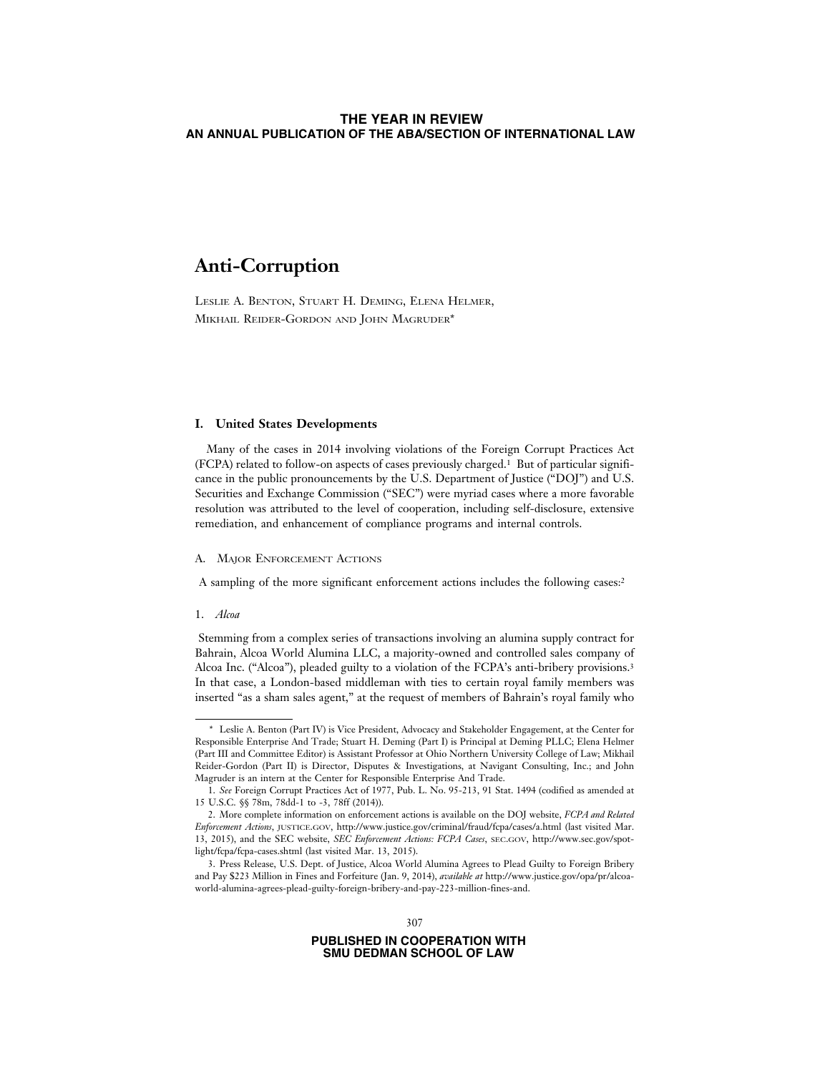# **Anti-Corruption**

LESLIE A. BENTON, STUART H. DEMING, ELENA HELMER, MIKHAIL REIDER-GORDON AND JOHN MAGRUDER\*

# **I. United States Developments**

Many of the cases in 2014 involving violations of the Foreign Corrupt Practices Act (FCPA) related to follow-on aspects of cases previously charged.1 But of particular significance in the public pronouncements by the U.S. Department of Justice ("DOJ") and U.S. Securities and Exchange Commission ("SEC") were myriad cases where a more favorable resolution was attributed to the level of cooperation, including self-disclosure, extensive remediation, and enhancement of compliance programs and internal controls.

# A. MAJOR ENFORCEMENT ACTIONS

A sampling of the more significant enforcement actions includes the following cases:2

#### 1. *Alcoa*

 Stemming from a complex series of transactions involving an alumina supply contract for Bahrain, Alcoa World Alumina LLC, a majority-owned and controlled sales company of Alcoa Inc. ("Alcoa"), pleaded guilty to a violation of the FCPA's anti-bribery provisions.3 In that case, a London-based middleman with ties to certain royal family members was inserted "as a sham sales agent," at the request of members of Bahrain's royal family who

<sup>\*</sup> Leslie A. Benton (Part IV) is Vice President, Advocacy and Stakeholder Engagement, at the Center for Responsible Enterprise And Trade; Stuart H. Deming (Part I) is Principal at Deming PLLC; Elena Helmer (Part III and Committee Editor) is Assistant Professor at Ohio Northern University College of Law; Mikhail Reider-Gordon (Part II) is Director, Disputes & Investigations, at Navigant Consulting, Inc.; and John Magruder is an intern at the Center for Responsible Enterprise And Trade.

<sup>1.</sup> *See* Foreign Corrupt Practices Act of 1977, Pub. L. No. 95-213, 91 Stat. 1494 (codified as amended at 15 U.S.C. §§ 78m, 78dd-1 to -3, 78ff (2014)).

<sup>2.</sup> More complete information on enforcement actions is available on the DOJ website, *FCPA and Related Enforcement Actions*, JUSTICE.GOV, http://www.justice.gov/criminal/fraud/fcpa/cases/a.html (last visited Mar. 13, 2015), and the SEC website, *SEC Enforcement Actions: FCPA Cases*, SEC.GOV, http://www.sec.gov/spotlight/fcpa/fcpa-cases.shtml (last visited Mar. 13, 2015).

<sup>3.</sup> Press Release, U.S. Dept. of Justice, Alcoa World Alumina Agrees to Plead Guilty to Foreign Bribery and Pay \$223 Million in Fines and Forfeiture (Jan. 9, 2014), *available at* http://www.justice.gov/opa/pr/alcoaworld-alumina-agrees-plead-guilty-foreign-bribery-and-pay-223-million-fines-and.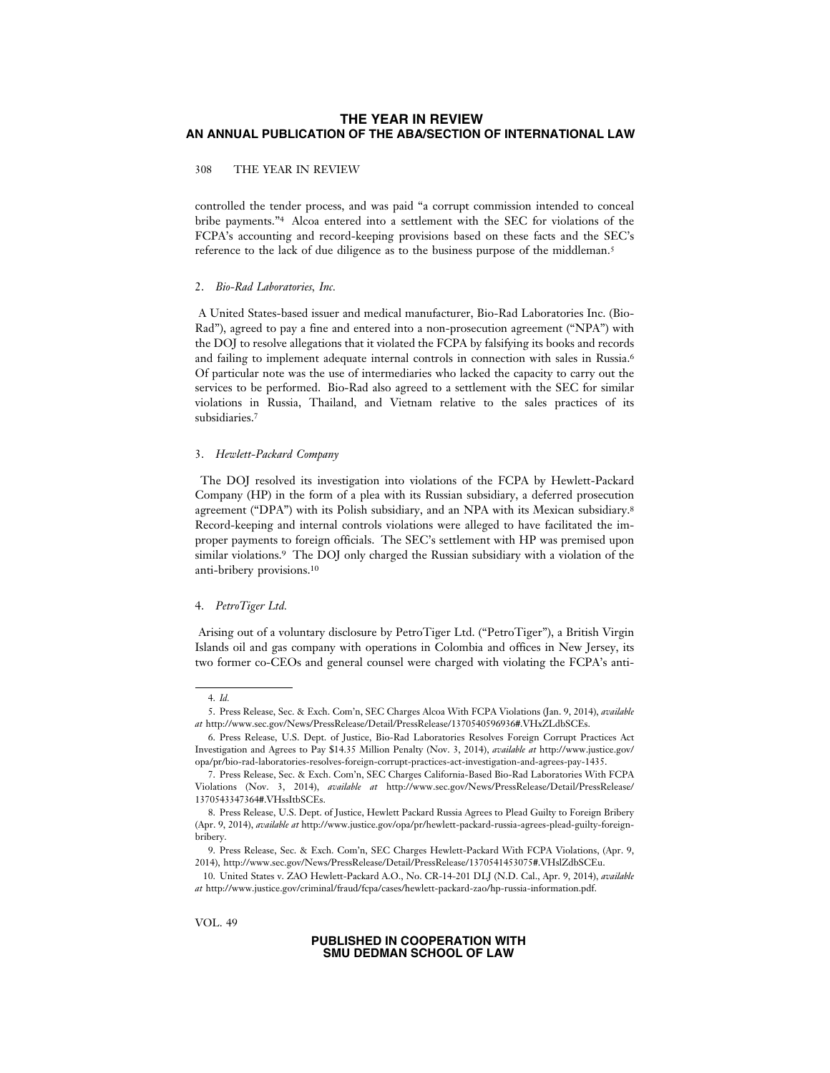### 308 THE YEAR IN REVIEW

controlled the tender process, and was paid "a corrupt commission intended to conceal bribe payments."4 Alcoa entered into a settlement with the SEC for violations of the FCPA's accounting and record-keeping provisions based on these facts and the SEC's reference to the lack of due diligence as to the business purpose of the middleman.5

#### 2. *Bio-Rad Laboratories, Inc.*

 A United States-based issuer and medical manufacturer, Bio-Rad Laboratories Inc. (Bio-Rad"), agreed to pay a fine and entered into a non-prosecution agreement ("NPA") with the DOJ to resolve allegations that it violated the FCPA by falsifying its books and records and failing to implement adequate internal controls in connection with sales in Russia.6 Of particular note was the use of intermediaries who lacked the capacity to carry out the services to be performed. Bio-Rad also agreed to a settlement with the SEC for similar violations in Russia, Thailand, and Vietnam relative to the sales practices of its subsidiaries.7

#### 3. *Hewlett-Packard Company*

 The DOJ resolved its investigation into violations of the FCPA by Hewlett-Packard Company (HP) in the form of a plea with its Russian subsidiary, a deferred prosecution agreement ("DPA") with its Polish subsidiary, and an NPA with its Mexican subsidiary.8 Record-keeping and internal controls violations were alleged to have facilitated the improper payments to foreign officials. The SEC's settlement with HP was premised upon similar violations.9 The DOJ only charged the Russian subsidiary with a violation of the anti-bribery provisions.10

#### 4. *PetroTiger Ltd.*

 Arising out of a voluntary disclosure by PetroTiger Ltd. ("PetroTiger"), a British Virgin Islands oil and gas company with operations in Colombia and offices in New Jersey, its two former co-CEOs and general counsel were charged with violating the FCPA's anti-

VOL. 49

<sup>4.</sup> *Id.*

<sup>5.</sup> Press Release, Sec. & Exch. Com'n, SEC Charges Alcoa With FCPA Violations (Jan. 9, 2014), *available at* http://www.sec.gov/News/PressRelease/Detail/PressRelease/1370540596936#.VHxZLdbSCEs.

<sup>6.</sup> Press Release, U.S. Dept. of Justice, Bio-Rad Laboratories Resolves Foreign Corrupt Practices Act Investigation and Agrees to Pay \$14.35 Million Penalty (Nov. 3, 2014), *available at* http://www.justice.gov/ opa/pr/bio-rad-laboratories-resolves-foreign-corrupt-practices-act-investigation-and-agrees-pay-1435.

<sup>7.</sup> Press Release, Sec. & Exch. Com'n, SEC Charges California-Based Bio-Rad Laboratories With FCPA Violations (Nov. 3, 2014), *available at* http://www.sec.gov/News/PressRelease/Detail/PressRelease/ 1370543347364#.VHssItbSCEs.

<sup>8.</sup> Press Release, U.S. Dept. of Justice, Hewlett Packard Russia Agrees to Plead Guilty to Foreign Bribery (Apr. 9, 2014), *available at* http://www.justice.gov/opa/pr/hewlett-packard-russia-agrees-plead-guilty-foreignbribery.

<sup>9.</sup> Press Release, Sec. & Exch. Com'n, SEC Charges Hewlett-Packard With FCPA Violations, (Apr. 9, 2014), http://www.sec.gov/News/PressRelease/Detail/PressRelease/1370541453075#.VHslZdbSCEu.

<sup>10.</sup> United States v. ZAO Hewlett-Packard A.O., No. CR-14-201 DLJ (N.D. Cal., Apr. 9, 2014), *available at* http://www.justice.gov/criminal/fraud/fcpa/cases/hewlett-packard-zao/hp-russia-information.pdf.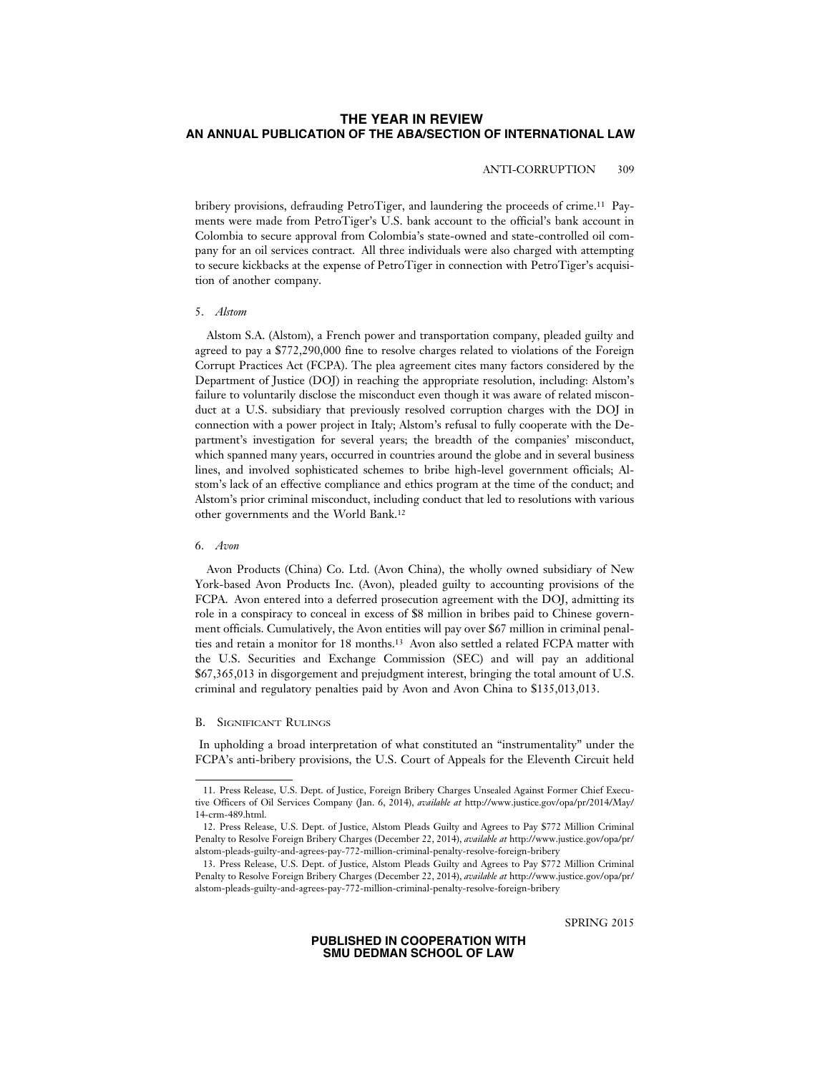# ANTI-CORRUPTION 309

bribery provisions, defrauding PetroTiger, and laundering the proceeds of crime.11 Payments were made from PetroTiger's U.S. bank account to the official's bank account in Colombia to secure approval from Colombia's state-owned and state-controlled oil company for an oil services contract. All three individuals were also charged with attempting to secure kickbacks at the expense of PetroTiger in connection with PetroTiger's acquisition of another company.

#### 5. *Alstom*

Alstom S.A. (Alstom), a French power and transportation company, pleaded guilty and agreed to pay a \$772,290,000 fine to resolve charges related to violations of the Foreign Corrupt Practices Act (FCPA). The plea agreement cites many factors considered by the Department of Justice (DOJ) in reaching the appropriate resolution, including: Alstom's failure to voluntarily disclose the misconduct even though it was aware of related misconduct at a U.S. subsidiary that previously resolved corruption charges with the DOJ in connection with a power project in Italy; Alstom's refusal to fully cooperate with the Department's investigation for several years; the breadth of the companies' misconduct, which spanned many years, occurred in countries around the globe and in several business lines, and involved sophisticated schemes to bribe high-level government officials; Alstom's lack of an effective compliance and ethics program at the time of the conduct; and Alstom's prior criminal misconduct, including conduct that led to resolutions with various other governments and the World Bank.12

#### 6. *Avon*

Avon Products (China) Co. Ltd. (Avon China), the wholly owned subsidiary of New York-based Avon Products Inc. (Avon), pleaded guilty to accounting provisions of the FCPA. Avon entered into a deferred prosecution agreement with the DOJ, admitting its role in a conspiracy to conceal in excess of \$8 million in bribes paid to Chinese government officials. Cumulatively, the Avon entities will pay over \$67 million in criminal penalties and retain a monitor for 18 months.13 Avon also settled a related FCPA matter with the U.S. Securities and Exchange Commission (SEC) and will pay an additional \$67,365,013 in disgorgement and prejudgment interest, bringing the total amount of U.S. criminal and regulatory penalties paid by Avon and Avon China to \$135,013,013.

#### B. SIGNIFICANT RULINGS

 In upholding a broad interpretation of what constituted an "instrumentality" under the FCPA's anti-bribery provisions, the U.S. Court of Appeals for the Eleventh Circuit held

SPRING 2015

<sup>11.</sup> Press Release, U.S. Dept. of Justice, Foreign Bribery Charges Unsealed Against Former Chief Executive Officers of Oil Services Company (Jan. 6, 2014), *available at* http://www.justice.gov/opa/pr/2014/May/ 14-crm-489.html.

<sup>12.</sup> Press Release, U.S. Dept. of Justice, Alstom Pleads Guilty and Agrees to Pay \$772 Million Criminal Penalty to Resolve Foreign Bribery Charges (December 22, 2014), *available at* http://www.justice.gov/opa/pr/ alstom-pleads-guilty-and-agrees-pay-772-million-criminal-penalty-resolve-foreign-bribery

<sup>13.</sup> Press Release, U.S. Dept. of Justice, Alstom Pleads Guilty and Agrees to Pay \$772 Million Criminal Penalty to Resolve Foreign Bribery Charges (December 22, 2014), *available at* http://www.justice.gov/opa/pr/ alstom-pleads-guilty-and-agrees-pay-772-million-criminal-penalty-resolve-foreign-bribery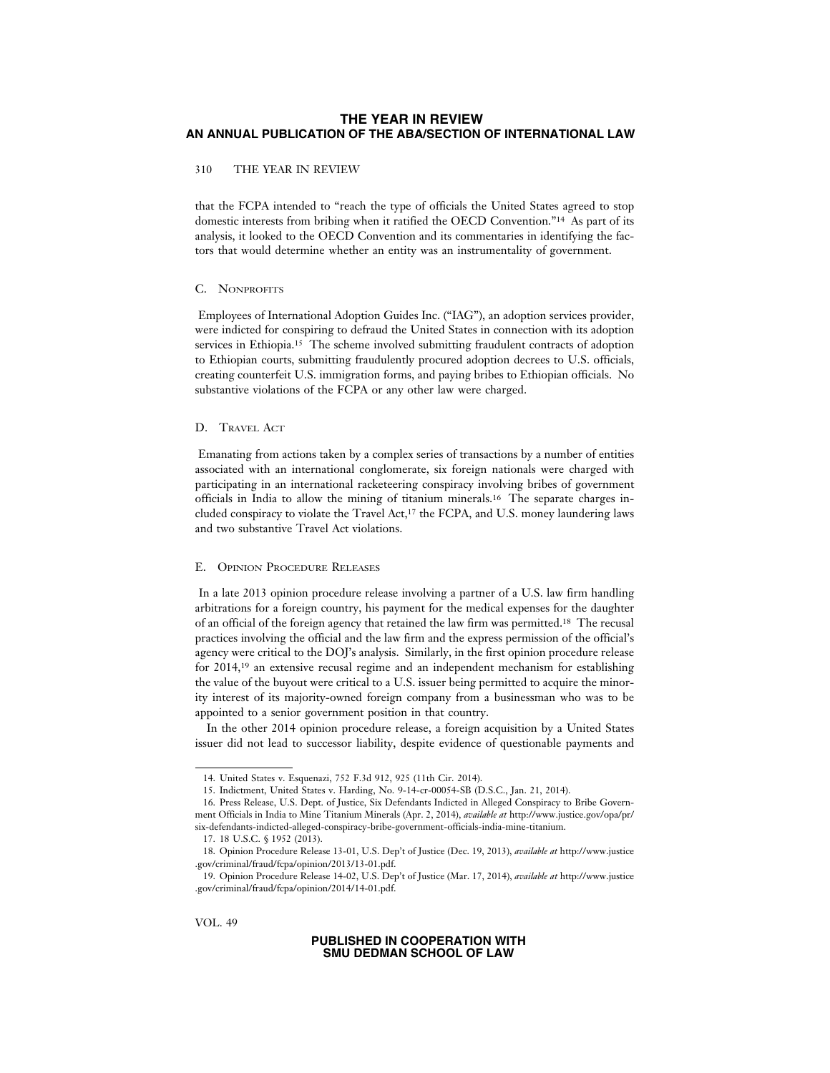### 310 THE YEAR IN REVIEW

that the FCPA intended to "reach the type of officials the United States agreed to stop domestic interests from bribing when it ratified the OECD Convention."14 As part of its analysis, it looked to the OECD Convention and its commentaries in identifying the factors that would determine whether an entity was an instrumentality of government.

#### C. NONPROFITS

 Employees of International Adoption Guides Inc. ("IAG"), an adoption services provider, were indicted for conspiring to defraud the United States in connection with its adoption services in Ethiopia.15 The scheme involved submitting fraudulent contracts of adoption to Ethiopian courts, submitting fraudulently procured adoption decrees to U.S. officials, creating counterfeit U.S. immigration forms, and paying bribes to Ethiopian officials. No substantive violations of the FCPA or any other law were charged.

#### D. TRAVEL ACT

 Emanating from actions taken by a complex series of transactions by a number of entities associated with an international conglomerate, six foreign nationals were charged with participating in an international racketeering conspiracy involving bribes of government officials in India to allow the mining of titanium minerals.16 The separate charges included conspiracy to violate the Travel Act,17 the FCPA, and U.S. money laundering laws and two substantive Travel Act violations.

### E. OPINION PROCEDURE RELEASES

 In a late 2013 opinion procedure release involving a partner of a U.S. law firm handling arbitrations for a foreign country, his payment for the medical expenses for the daughter of an official of the foreign agency that retained the law firm was permitted.18 The recusal practices involving the official and the law firm and the express permission of the official's agency were critical to the DOJ's analysis. Similarly, in the first opinion procedure release for 2014,19 an extensive recusal regime and an independent mechanism for establishing the value of the buyout were critical to a U.S. issuer being permitted to acquire the minority interest of its majority-owned foreign company from a businessman who was to be appointed to a senior government position in that country.

In the other 2014 opinion procedure release, a foreign acquisition by a United States issuer did not lead to successor liability, despite evidence of questionable payments and

<sup>14.</sup> United States v. Esquenazi, 752 F.3d 912, 925 (11th Cir. 2014).

<sup>15.</sup> Indictment, United States v. Harding, No. 9-14-cr-00054-SB (D.S.C., Jan. 21, 2014).

<sup>16.</sup> Press Release, U.S. Dept. of Justice, Six Defendants Indicted in Alleged Conspiracy to Bribe Government Officials in India to Mine Titanium Minerals (Apr. 2, 2014), *available at* http://www.justice.gov/opa/pr/ six-defendants-indicted-alleged-conspiracy-bribe-government-officials-india-mine-titanium.

<sup>17. 18</sup> U.S.C. § 1952 (2013).

<sup>18.</sup> Opinion Procedure Release 13-01, U.S. Dep't of Justice (Dec. 19, 2013), *available at* http://www.justice .gov/criminal/fraud/fcpa/opinion/2013/13-01.pdf.

<sup>19.</sup> Opinion Procedure Release 14-02, U.S. Dep't of Justice (Mar. 17, 2014), *available at* http://www.justice .gov/criminal/fraud/fcpa/opinion/2014/14-01.pdf.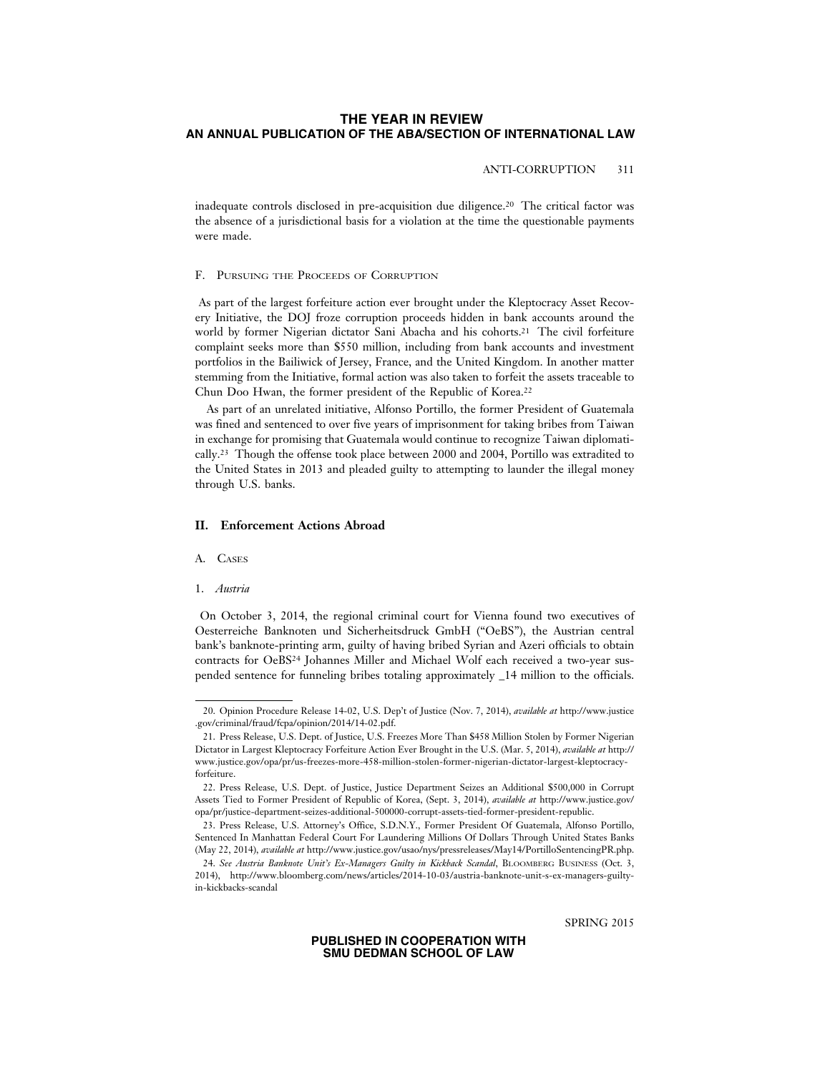# ANTI-CORRUPTION 311

inadequate controls disclosed in pre-acquisition due diligence.20 The critical factor was the absence of a jurisdictional basis for a violation at the time the questionable payments were made.

### F. PURSUING THE PROCEEDS OF CORRUPTION

 As part of the largest forfeiture action ever brought under the Kleptocracy Asset Recovery Initiative, the DOJ froze corruption proceeds hidden in bank accounts around the world by former Nigerian dictator Sani Abacha and his cohorts.<sup>21</sup> The civil forfeiture complaint seeks more than \$550 million, including from bank accounts and investment portfolios in the Bailiwick of Jersey, France, and the United Kingdom. In another matter stemming from the Initiative, formal action was also taken to forfeit the assets traceable to Chun Doo Hwan, the former president of the Republic of Korea.22

As part of an unrelated initiative, Alfonso Portillo, the former President of Guatemala was fined and sentenced to over five years of imprisonment for taking bribes from Taiwan in exchange for promising that Guatemala would continue to recognize Taiwan diplomatically.23 Though the offense took place between 2000 and 2004, Portillo was extradited to the United States in 2013 and pleaded guilty to attempting to launder the illegal money through U.S. banks.

#### **II. Enforcement Actions Abroad**

#### A. CASES

#### 1. *Austria*

 On October 3, 2014, the regional criminal court for Vienna found two executives of Oesterreiche Banknoten und Sicherheitsdruck GmbH ("OeBS"), the Austrian central bank's banknote-printing arm, guilty of having bribed Syrian and Azeri officials to obtain contracts for OeBS24 Johannes Miller and Michael Wolf each received a two-year suspended sentence for funneling bribes totaling approximately \_14 million to the officials.

<sup>20.</sup> Opinion Procedure Release 14-02, U.S. Dep't of Justice (Nov. 7, 2014), *available at* http://www.justice .gov/criminal/fraud/fcpa/opinion/2014/14-02.pdf.

<sup>21.</sup> Press Release, U.S. Dept. of Justice, U.S. Freezes More Than \$458 Million Stolen by Former Nigerian Dictator in Largest Kleptocracy Forfeiture Action Ever Brought in the U.S. (Mar. 5, 2014), *available at* http:// www.justice.gov/opa/pr/us-freezes-more-458-million-stolen-former-nigerian-dictator-largest-kleptocracyforfeiture.

<sup>22.</sup> Press Release, U.S. Dept. of Justice, Justice Department Seizes an Additional \$500,000 in Corrupt Assets Tied to Former President of Republic of Korea, (Sept. 3, 2014), *available at* http://www.justice.gov/ opa/pr/justice-department-seizes-additional-500000-corrupt-assets-tied-former-president-republic.

<sup>23.</sup> Press Release, U.S. Attorney's Office, S.D.N.Y., Former President Of Guatemala, Alfonso Portillo, Sentenced In Manhattan Federal Court For Laundering Millions Of Dollars Through United States Banks (May 22, 2014), *available at* http://www.justice.gov/usao/nys/pressreleases/May14/PortilloSentencingPR.php.

<sup>24.</sup> *See Austria Banknote Unit's Ex-Managers Guilty in Kickback Scandal*, BLOOMBERG BUSINESS (Oct. 3, 2014), http://www.bloomberg.com/news/articles/2014-10-03/austria-banknote-unit-s-ex-managers-guiltyin-kickbacks-scandal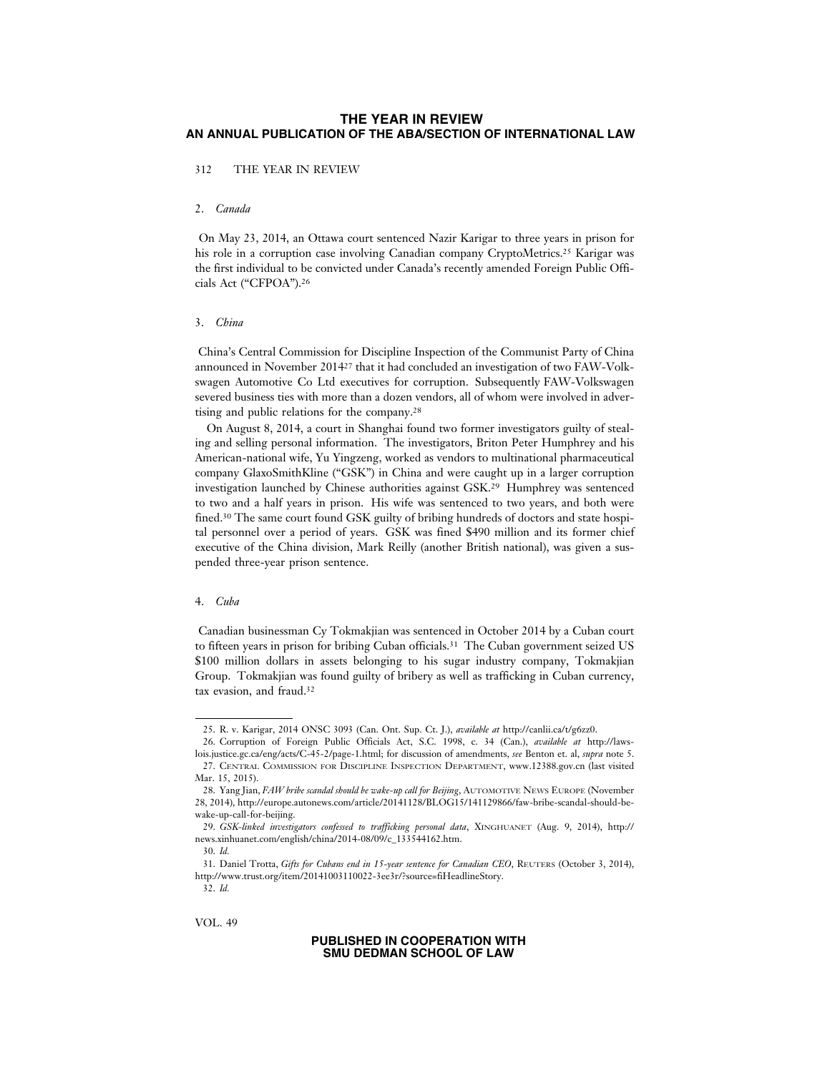312 THE YEAR IN REVIEW

# 2. *Canada*

 On May 23, 2014, an Ottawa court sentenced Nazir Karigar to three years in prison for his role in a corruption case involving Canadian company CryptoMetrics.<sup>25</sup> Karigar was the first individual to be convicted under Canada's recently amended Foreign Public Officials Act ("CFPOA").26

#### 3. *China*

 China's Central Commission for Discipline Inspection of the Communist Party of China announced in November 201427 that it had concluded an investigation of two FAW-Volkswagen Automotive Co Ltd executives for corruption. Subsequently FAW-Volkswagen severed business ties with more than a dozen vendors, all of whom were involved in advertising and public relations for the company.28

On August 8, 2014, a court in Shanghai found two former investigators guilty of stealing and selling personal information. The investigators, Briton Peter Humphrey and his American-national wife, Yu Yingzeng, worked as vendors to multinational pharmaceutical company GlaxoSmithKline ("GSK") in China and were caught up in a larger corruption investigation launched by Chinese authorities against GSK.29 Humphrey was sentenced to two and a half years in prison. His wife was sentenced to two years, and both were fined.30 The same court found GSK guilty of bribing hundreds of doctors and state hospital personnel over a period of years. GSK was fined \$490 million and its former chief executive of the China division, Mark Reilly (another British national), was given a suspended three-year prison sentence.

# 4. *Cuba*

 Canadian businessman Cy Tokmakjian was sentenced in October 2014 by a Cuban court to fifteen years in prison for bribing Cuban officials.<sup>31</sup> The Cuban government seized US \$100 million dollars in assets belonging to his sugar industry company, Tokmakjian Group. Tokmakjian was found guilty of bribery as well as trafficking in Cuban currency, tax evasion, and fraud.32

<sup>25.</sup> R. v. Karigar, 2014 ONSC 3093 (Can. Ont. Sup. Ct. J.), *available at* http://canlii.ca/t/g6zz0.

<sup>26.</sup> Corruption of Foreign Public Officials Act, S.C. 1998, c. 34 (Can.), *available at* http://lawslois.justice.gc.ca/eng/acts/C-45-2/page-1.html; for discussion of amendments, *see* Benton et. al, *supra* note 5. 27. CENTRAL COMMISSION FOR DISCIPLINE INSPECTION DEPARTMENT, www.12388.gov.cn (last visited Mar. 15, 2015).

<sup>28.</sup> Yang Jian, *FAW bribe scandal should be wake-up call for Beijing*, AUTOMOTIVE NEWS EUROPE (November 28, 2014), http://europe.autonews.com/article/20141128/BLOG15/141129866/faw-bribe-scandal-should-bewake-up-call-for-beijing.

<sup>29.</sup> *GSK-linked investigators confessed to trafficking personal data*, XINGHUANET (Aug. 9, 2014), http:// news.xinhuanet.com/english/china/2014-08/09/c\_133544162.htm.

<sup>30.</sup> *Id.*

<sup>31.</sup> Daniel Trotta, *Gifts for Cubans end in 15-year sentence for Canadian CEO*, REUTERS (October 3, 2014), http://www.trust.org/item/20141003110022-3ee3r/?source=fiHeadlineStory.

<sup>32.</sup> *Id.*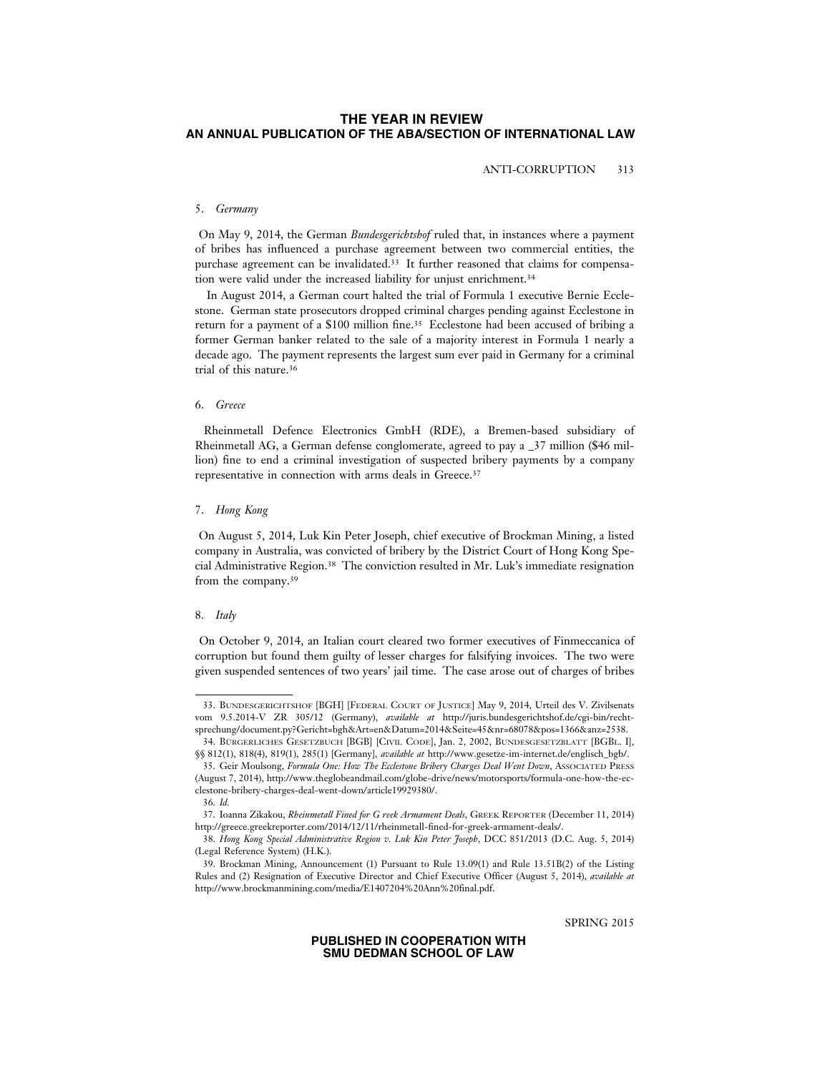ANTI-CORRUPTION 313

# 5. *Germany*

 On May 9, 2014, the German *Bundesgerichtshof* ruled that, in instances where a payment of bribes has influenced a purchase agreement between two commercial entities, the purchase agreement can be invalidated.33 It further reasoned that claims for compensation were valid under the increased liability for unjust enrichment.34

In August 2014, a German court halted the trial of Formula 1 executive Bernie Ecclestone. German state prosecutors dropped criminal charges pending against Ecclestone in return for a payment of a \$100 million fine.35 Ecclestone had been accused of bribing a former German banker related to the sale of a majority interest in Formula 1 nearly a decade ago. The payment represents the largest sum ever paid in Germany for a criminal trial of this nature.36

### 6. *Greece*

 Rheinmetall Defence Electronics GmbH (RDE), a Bremen-based subsidiary of Rheinmetall AG, a German defense conglomerate, agreed to pay a \_37 million (\$46 million) fine to end a criminal investigation of suspected bribery payments by a company representative in connection with arms deals in Greece.37

#### 7. *Hong Kong*

 On August 5, 2014, Luk Kin Peter Joseph, chief executive of Brockman Mining, a listed company in Australia, was convicted of bribery by the District Court of Hong Kong Special Administrative Region.38 The conviction resulted in Mr. Luk's immediate resignation from the company.39

# 8. *Italy*

 On October 9, 2014, an Italian court cleared two former executives of Finmeccanica of corruption but found them guilty of lesser charges for falsifying invoices. The two were given suspended sentences of two years' jail time. The case arose out of charges of bribes

SPRING 2015

<sup>33.</sup> BUNDESGERICHTSHOF [BGH] [FEDERAL COURT OF JUSTICE] May 9, 2014, Urteil des V. Zivilsenats vom 9.5.2014-V ZR 305/12 (Germany), *available at* http://juris.bundesgerichtshof.de/cgi-bin/rechtsprechung/document.py?Gericht=bgh&Art=en&Datum=2014&Seite=45&nr=68078&pos=1366&anz=2538.

<sup>34.</sup> BÜRGERLICHES GESETZBUCH [BGB] [CIVIL CODE], Jan. 2, 2002, BUNDESGESETZBLATT [BGBL. I], §§ 812(1), 818(4), 819(1), 285(1) [Germany], *available at* http://www.gesetze-im-internet.de/englisch\_bgb/.

<sup>35.</sup> Geir Moulsong, *Formula One: How The Ecclestone Bribery Charges Deal Went Down*, ASSOCIATED PRESS (August 7, 2014), http://www.theglobeandmail.com/globe-drive/news/motorsports/formula-one-how-the-ecclestone-bribery-charges-deal-went-down/article19929380/.

<sup>36.</sup> *Id.*

<sup>37.</sup> Ioanna Zikakou, *Rheinmetall Fined for G reek Armament Deals*, GREEK REPORTER (December 11, 2014) http://greece.greekreporter.com/2014/12/11/rheinmetall-fined-for-greek-armament-deals/.

<sup>38.</sup> *Hong Kong Special Administrative Region v. Luk Kin Peter Joseph*, DCC 851/2013 (D.C. Aug. 5, 2014) (Legal Reference System) (H.K.).

<sup>39.</sup> Brockman Mining, Announcement (1) Pursuant to Rule 13.09(1) and Rule 13.51B(2) of the Listing Rules and (2) Resignation of Executive Director and Chief Executive Officer (August 5, 2014), *available at* http://www.brockmanmining.com/media/E1407204%20Ann%20final.pdf.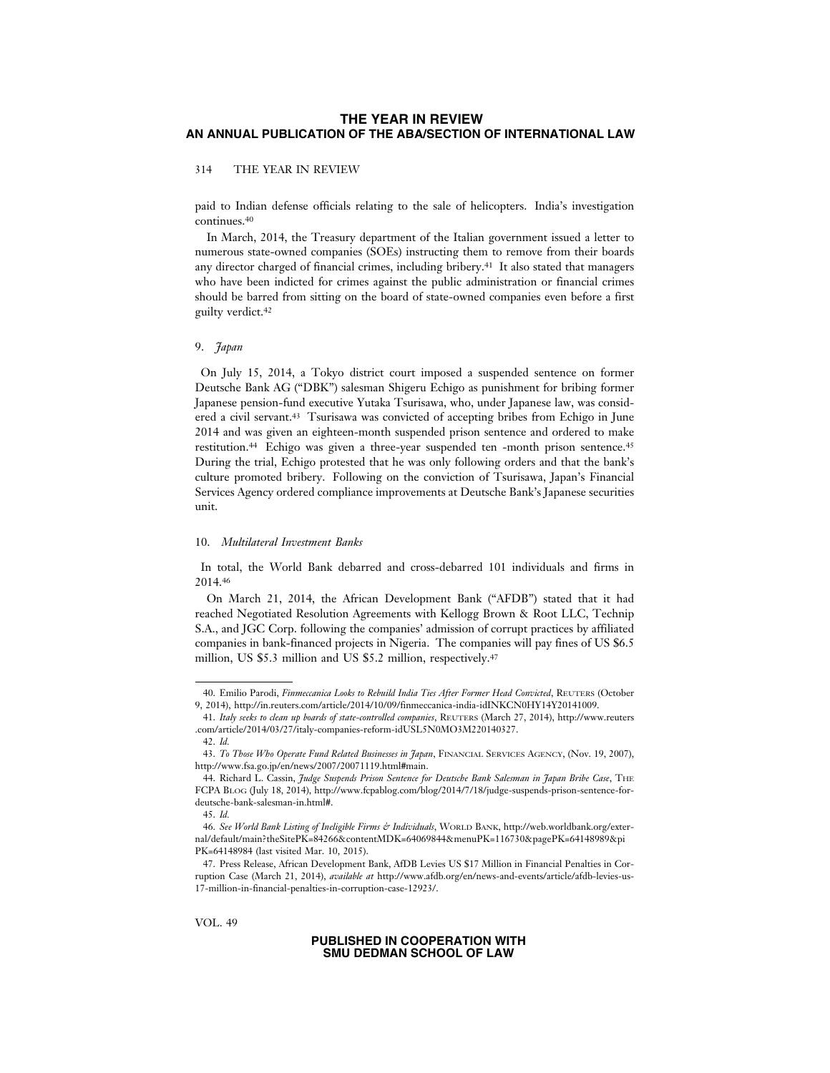### 314 THE YEAR IN REVIEW

paid to Indian defense officials relating to the sale of helicopters. India's investigation continues.<sup>40</sup>

In March, 2014, the Treasury department of the Italian government issued a letter to numerous state-owned companies (SOEs) instructing them to remove from their boards any director charged of financial crimes, including bribery.41 It also stated that managers who have been indicted for crimes against the public administration or financial crimes should be barred from sitting on the board of state-owned companies even before a first guilty verdict.42

#### 9. *Japan*

 On July 15, 2014, a Tokyo district court imposed a suspended sentence on former Deutsche Bank AG ("DBK") salesman Shigeru Echigo as punishment for bribing former Japanese pension-fund executive Yutaka Tsurisawa, who, under Japanese law, was considered a civil servant.43 Tsurisawa was convicted of accepting bribes from Echigo in June 2014 and was given an eighteen-month suspended prison sentence and ordered to make restitution.44 Echigo was given a three-year suspended ten -month prison sentence.45 During the trial, Echigo protested that he was only following orders and that the bank's culture promoted bribery. Following on the conviction of Tsurisawa, Japan's Financial Services Agency ordered compliance improvements at Deutsche Bank's Japanese securities unit.

#### 10. *Multilateral Investment Banks*

 In total, the World Bank debarred and cross-debarred 101 individuals and firms in 2014.46

On March 21, 2014, the African Development Bank ("AFDB") stated that it had reached Negotiated Resolution Agreements with Kellogg Brown & Root LLC, Technip S.A., and JGC Corp. following the companies' admission of corrupt practices by affiliated companies in bank-financed projects in Nigeria. The companies will pay fines of US \$6.5 million, US \$5.3 million and US \$5.2 million, respectively.<sup>47</sup>

VOL. 49

<sup>40.</sup> Emilio Parodi, *Finmeccanica Looks to Rebuild India Ties After Former Head Convicted*, REUTERS (October 9, 2014), http://in.reuters.com/article/2014/10/09/finmeccanica-india-idINKCN0HY14Y20141009.

<sup>41.</sup> *Italy seeks to clean up boards of state-controlled companies*, REUTERS (March 27, 2014), http://www.reuters .com/article/2014/03/27/italy-companies-reform-idUSL5N0MO3M220140327.

<sup>42.</sup> *Id.*

<sup>43.</sup> *To Those Who Operate Fund Related Businesses in Japan*, FINANCIAL SERVICES AGENCY, (Nov. 19, 2007), http://www.fsa.go.jp/en/news/2007/20071119.html#main.

<sup>44.</sup> Richard L. Cassin, *Judge Suspends Prison Sentence for Deutsche Bank Salesman in Japan Bribe Case*, THE FCPA BLOG (July 18, 2014), http://www.fcpablog.com/blog/2014/7/18/judge-suspends-prison-sentence-fordeutsche-bank-salesman-in.html#.

<sup>45.</sup> *Id.*

<sup>46.</sup> *See World Bank Listing of Ineligible Firms & Individuals*, WORLD BANK, http://web.worldbank.org/external/default/main?theSitePK=84266&contentMDK=64069844&menuPK=116730&pagePK=64148989&pi PK=64148984 (last visited Mar. 10, 2015).

<sup>47.</sup> Press Release, African Development Bank, AfDB Levies US \$17 Million in Financial Penalties in Corruption Case (March 21, 2014), *available at* http://www.afdb.org/en/news-and-events/article/afdb-levies-us-17-million-in-financial-penalties-in-corruption-case-12923/.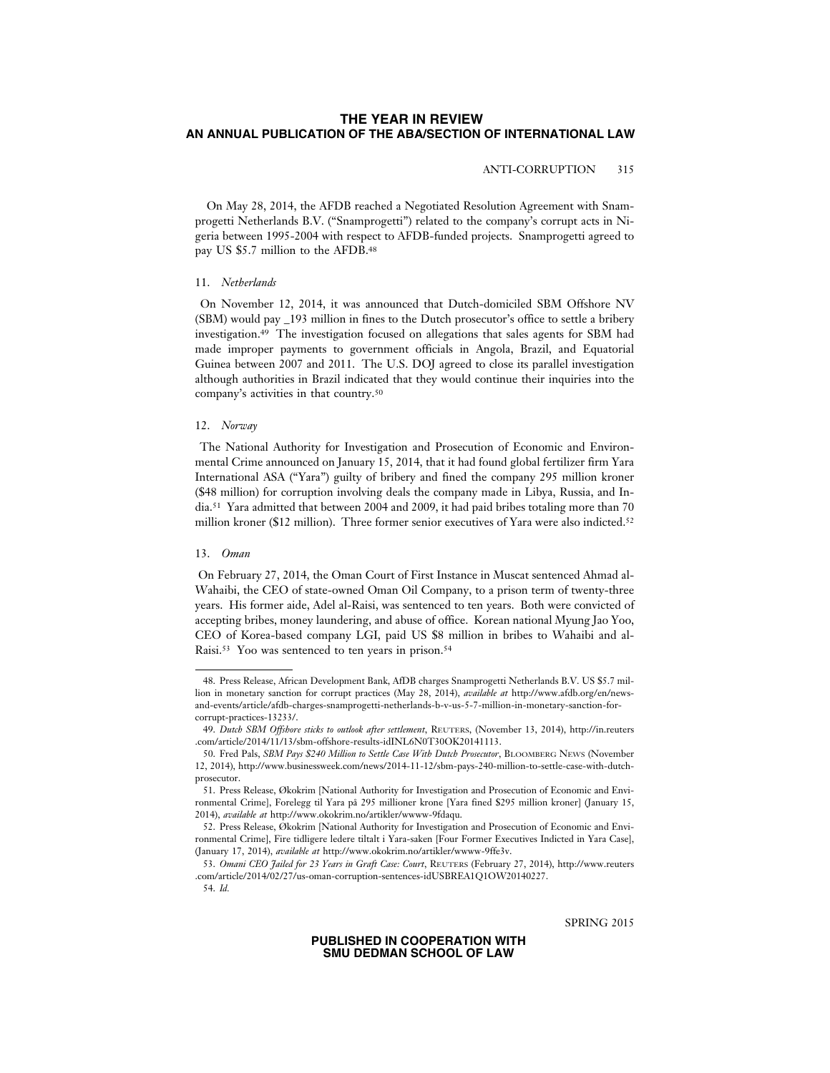# ANTI-CORRUPTION 315

On May 28, 2014, the AFDB reached a Negotiated Resolution Agreement with Snamprogetti Netherlands B.V. ("Snamprogetti") related to the company's corrupt acts in Nigeria between 1995-2004 with respect to AFDB-funded projects. Snamprogetti agreed to pay US \$5.7 million to the AFDB.48

#### 11. *Netherlands*

 On November 12, 2014, it was announced that Dutch-domiciled SBM Offshore NV (SBM) would pay \_193 million in fines to the Dutch prosecutor's office to settle a bribery investigation.49 The investigation focused on allegations that sales agents for SBM had made improper payments to government officials in Angola, Brazil, and Equatorial Guinea between 2007 and 2011. The U.S. DOJ agreed to close its parallel investigation although authorities in Brazil indicated that they would continue their inquiries into the company's activities in that country.50

# 12. *Norway*

 The National Authority for Investigation and Prosecution of Economic and Environmental Crime announced on January 15, 2014, that it had found global fertilizer firm Yara International ASA ("Yara") guilty of bribery and fined the company 295 million kroner (\$48 million) for corruption involving deals the company made in Libya, Russia, and India.51 Yara admitted that between 2004 and 2009, it had paid bribes totaling more than 70 million kroner (\$12 million). Three former senior executives of Yara were also indicted.<sup>52</sup>

### 13. *Oman*

 On February 27, 2014, the Oman Court of First Instance in Muscat sentenced Ahmad al-Wahaibi, the CEO of state-owned Oman Oil Company, to a prison term of twenty-three years. His former aide, Adel al-Raisi, was sentenced to ten years. Both were convicted of accepting bribes, money laundering, and abuse of office. Korean national Myung Jao Yoo, CEO of Korea-based company LGI, paid US \$8 million in bribes to Wahaibi and al-Raisi.53 Yoo was sentenced to ten years in prison.54

SPRING 2015

<sup>48.</sup> Press Release, African Development Bank, AfDB charges Snamprogetti Netherlands B.V. US \$5.7 million in monetary sanction for corrupt practices (May 28, 2014), *available at* http://www.afdb.org/en/newsand-events/article/afdb-charges-snamprogetti-netherlands-b-v-us-5-7-million-in-monetary-sanction-forcorrupt-practices-13233/.

<sup>49.</sup> *Dutch SBM Offshore sticks to outlook after settlement*, REUTERS, (November 13, 2014), http://in.reuters .com/article/2014/11/13/sbm-offshore-results-idINL6N0T30OK20141113.

<sup>50.</sup> Fred Pals, *SBM Pays \$240 Million to Settle Case With Dutch Prosecutor*, BLOOMBERG NEWS (November 12, 2014), http://www.businessweek.com/news/2014-11-12/sbm-pays-240-million-to-settle-case-with-dutchprosecutor.

<sup>51.</sup> Press Release, Økokrim [National Authority for Investigation and Prosecution of Economic and Environmental Crime], Forelegg til Yara på 295 millioner krone [Yara fined \$295 million kroner] (January 15, 2014), *available at* http://www.okokrim.no/artikler/wwww-9fdaqu.

<sup>52.</sup> Press Release, Økokrim [National Authority for Investigation and Prosecution of Economic and Environmental Crime], Fire tidligere ledere tiltalt i Yara-saken [Four Former Executives Indicted in Yara Case], (January 17, 2014), *available at* http://www.okokrim.no/artikler/wwww-9ffe3v.

<sup>53.</sup> *Omani CEO Jailed for 23 Years in Graft Case: Court*, REUTERS (February 27, 2014), http://www.reuters .com/article/2014/02/27/us-oman-corruption-sentences-idUSBREA1Q1OW20140227.

<sup>54.</sup> *Id.*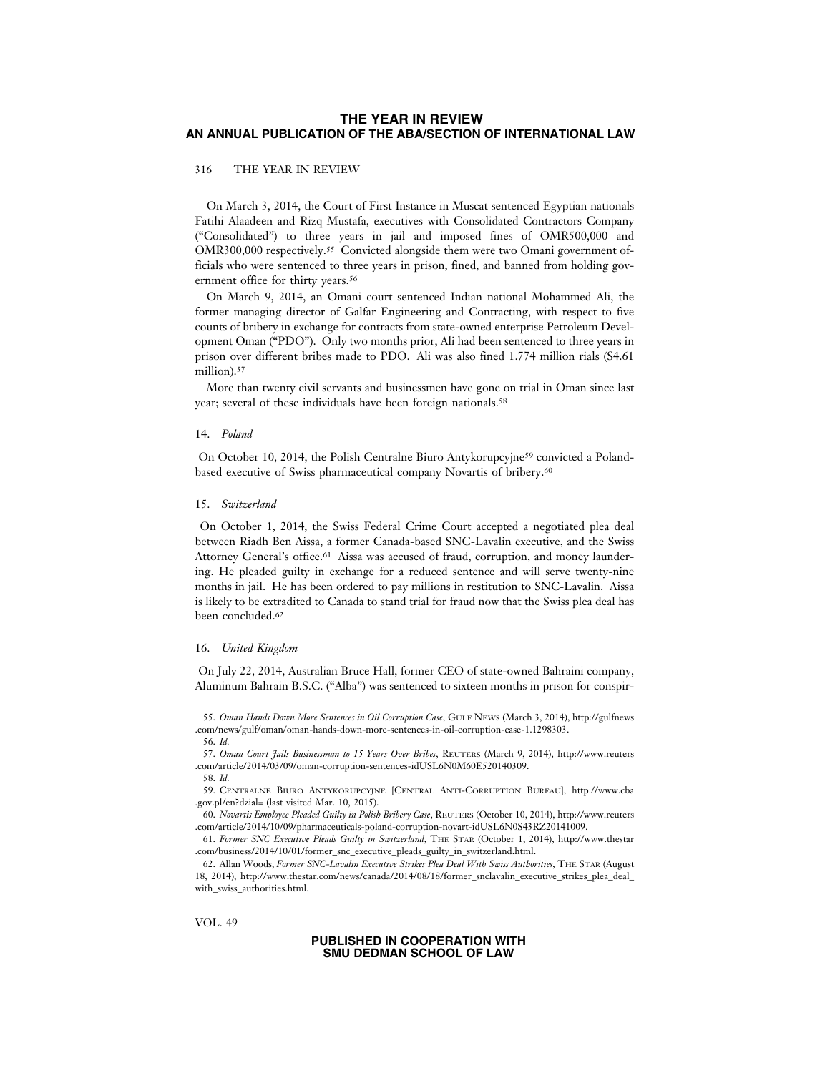### 316 THE YEAR IN REVIEW

On March 3, 2014, the Court of First Instance in Muscat sentenced Egyptian nationals Fatihi Alaadeen and Rizq Mustafa, executives with Consolidated Contractors Company ("Consolidated") to three years in jail and imposed fines of OMR500,000 and OMR300,000 respectively.55 Convicted alongside them were two Omani government officials who were sentenced to three years in prison, fined, and banned from holding government office for thirty years.<sup>56</sup>

On March 9, 2014, an Omani court sentenced Indian national Mohammed Ali, the former managing director of Galfar Engineering and Contracting, with respect to five counts of bribery in exchange for contracts from state-owned enterprise Petroleum Development Oman ("PDO"). Only two months prior, Ali had been sentenced to three years in prison over different bribes made to PDO. Ali was also fined 1.774 million rials (\$4.61 million).<sup>57</sup>

More than twenty civil servants and businessmen have gone on trial in Oman since last year; several of these individuals have been foreign nationals.<sup>58</sup>

#### 14. *Poland*

 On October 10, 2014, the Polish Centralne Biuro Antykorupcyjne59 convicted a Polandbased executive of Swiss pharmaceutical company Novartis of bribery.60

#### 15. *Switzerland*

 On October 1, 2014, the Swiss Federal Crime Court accepted a negotiated plea deal between Riadh Ben Aissa, a former Canada-based SNC-Lavalin executive, and the Swiss Attorney General's office.61 Aissa was accused of fraud, corruption, and money laundering. He pleaded guilty in exchange for a reduced sentence and will serve twenty-nine months in jail. He has been ordered to pay millions in restitution to SNC-Lavalin. Aissa is likely to be extradited to Canada to stand trial for fraud now that the Swiss plea deal has been concluded.62

#### 16. *United Kingdom*

 On July 22, 2014, Australian Bruce Hall, former CEO of state-owned Bahraini company, Aluminum Bahrain B.S.C. ("Alba") was sentenced to sixteen months in prison for conspir-

<sup>55.</sup> *Oman Hands Down More Sentences in Oil Corruption Case*, GULF NEWS (March 3, 2014), http://gulfnews .com/news/gulf/oman/oman-hands-down-more-sentences-in-oil-corruption-case-1.1298303. 56. *Id.*

<sup>57.</sup> *Oman Court Jails Businessman to 15 Years Over Bribes*, REUTERS (March 9, 2014), http://www.reuters .com/article/2014/03/09/oman-corruption-sentences-idUSL6N0M60E520140309.

<sup>58.</sup> *Id.*

<sup>59.</sup> CENTRALNE BIURO ANTYKORUPCYJNE [CENTRAL ANTI-CORRUPTION BUREAU], http://www.cba .gov.pl/en?dzial= (last visited Mar. 10, 2015).

<sup>60.</sup> *Novartis Employee Pleaded Guilty in Polish Bribery Case*, REUTERS (October 10, 2014), http://www.reuters .com/article/2014/10/09/pharmaceuticals-poland-corruption-novart-idUSL6N0S43RZ20141009.

<sup>61.</sup> *Former SNC Executive Pleads Guilty in Switzerland*, THE STAR (October 1, 2014), http://www.thestar .com/business/2014/10/01/former\_snc\_executive\_pleads\_guilty\_in\_switzerland.html.

<sup>62.</sup> Allan Woods, *Former SNC-Lavalin Executive Strikes Plea Deal With Swiss Authorities*, THE STAR (August 18, 2014), http://www.thestar.com/news/canada/2014/08/18/former\_snclavalin\_executive\_strikes\_plea\_deal\_ with\_swiss\_authorities.html.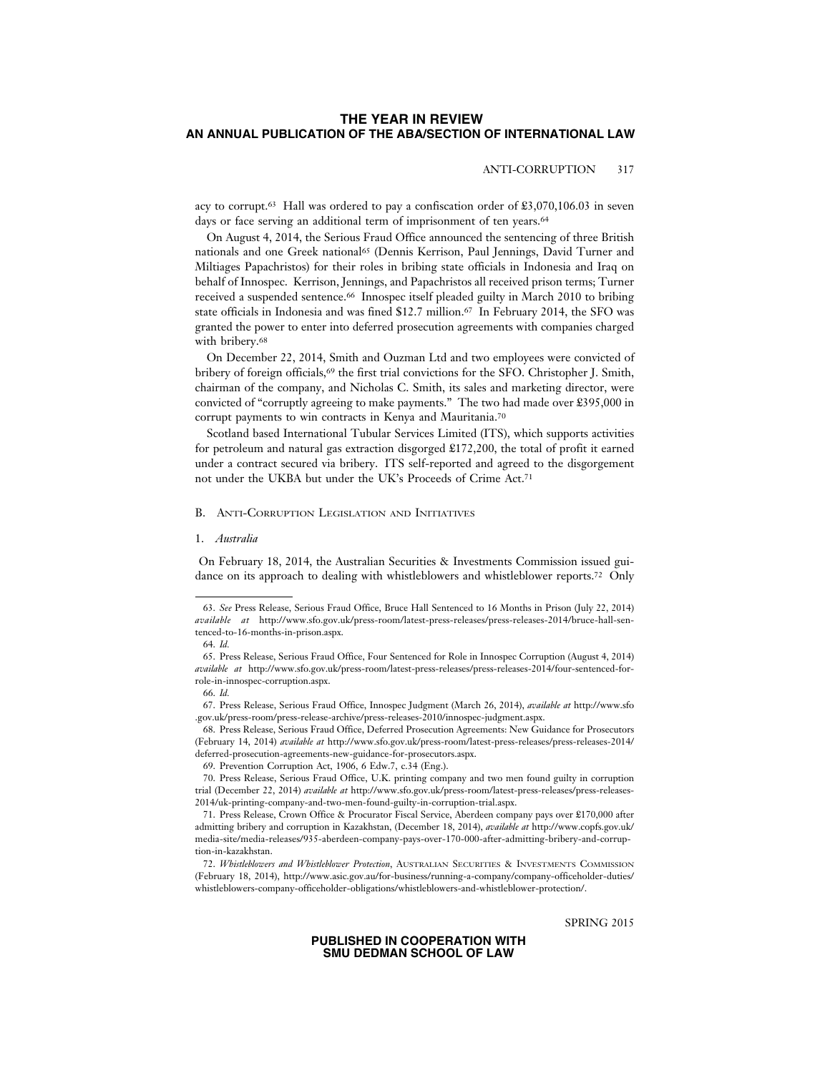## ANTI-CORRUPTION 317

acy to corrupt.<sup>63</sup> Hall was ordered to pay a confiscation order of  $\pounds 3,070,106.03$  in seven days or face serving an additional term of imprisonment of ten years.<sup>64</sup>

On August 4, 2014, the Serious Fraud Office announced the sentencing of three British nationals and one Greek national65 (Dennis Kerrison, Paul Jennings, David Turner and Miltiages Papachristos) for their roles in bribing state officials in Indonesia and Iraq on behalf of Innospec. Kerrison, Jennings, and Papachristos all received prison terms; Turner received a suspended sentence.66 Innospec itself pleaded guilty in March 2010 to bribing state officials in Indonesia and was fined \$12.7 million.67 In February 2014, the SFO was granted the power to enter into deferred prosecution agreements with companies charged with bribery.68

On December 22, 2014, Smith and Ouzman Ltd and two employees were convicted of bribery of foreign officials,69 the first trial convictions for the SFO. Christopher J. Smith, chairman of the company, and Nicholas C. Smith, its sales and marketing director, were convicted of "corruptly agreeing to make payments." The two had made over £395,000 in corrupt payments to win contracts in Kenya and Mauritania.70

Scotland based International Tubular Services Limited (ITS), which supports activities for petroleum and natural gas extraction disgorged £172,200, the total of profit it earned under a contract secured via bribery. ITS self-reported and agreed to the disgorgement not under the UKBA but under the UK's Proceeds of Crime Act.71

# B. ANTI-CORRUPTION LEGISLATION AND INITIATIVES

#### 1. *Australia*

 On February 18, 2014, the Australian Securities & Investments Commission issued guidance on its approach to dealing with whistleblowers and whistleblower reports.72 Only

68. Press Release, Serious Fraud Office, Deferred Prosecution Agreements: New Guidance for Prosecutors (February 14, 2014) *available at* http://www.sfo.gov.uk/press-room/latest-press-releases/press-releases-2014/ deferred-prosecution-agreements-new-guidance-for-prosecutors.aspx.

SPRING 2015

<sup>63.</sup> *See* Press Release, Serious Fraud Office, Bruce Hall Sentenced to 16 Months in Prison (July 22, 2014) *available at* http://www.sfo.gov.uk/press-room/latest-press-releases/press-releases-2014/bruce-hall-sentenced-to-16-months-in-prison.aspx.

<sup>64.</sup> *Id.*

<sup>65.</sup> Press Release, Serious Fraud Office, Four Sentenced for Role in Innospec Corruption (August 4, 2014) *available at* http://www.sfo.gov.uk/press-room/latest-press-releases/press-releases-2014/four-sentenced-forrole-in-innospec-corruption.aspx.

<sup>66.</sup> *Id.*

<sup>67.</sup> Press Release, Serious Fraud Office, Innospec Judgment (March 26, 2014), *available at* http://www.sfo .gov.uk/press-room/press-release-archive/press-releases-2010/innospec-judgment.aspx.

<sup>69.</sup> Prevention Corruption Act, 1906, 6 Edw.7, c.34 (Eng.).

<sup>70.</sup> Press Release, Serious Fraud Office, U.K. printing company and two men found guilty in corruption trial (December 22, 2014) *available at* http://www.sfo.gov.uk/press-room/latest-press-releases/press-releases-2014/uk-printing-company-and-two-men-found-guilty-in-corruption-trial.aspx.

<sup>71.</sup> Press Release, Crown Office & Procurator Fiscal Service, Aberdeen company pays over £170,000 after admitting bribery and corruption in Kazakhstan, (December 18, 2014), *available at* http://www.copfs.gov.uk/ media-site/media-releases/935-aberdeen-company-pays-over-170-000-after-admitting-bribery-and-corruption-in-kazakhstan.

<sup>72.</sup> *Whistleblowers and Whistleblower Protection*, AUSTRALIAN SECURITIES & INVESTMENTS COMMISSION (February 18, 2014), http://www.asic.gov.au/for-business/running-a-company/company-officeholder-duties/ whistleblowers-company-officeholder-obligations/whistleblowers-and-whistleblower-protection/.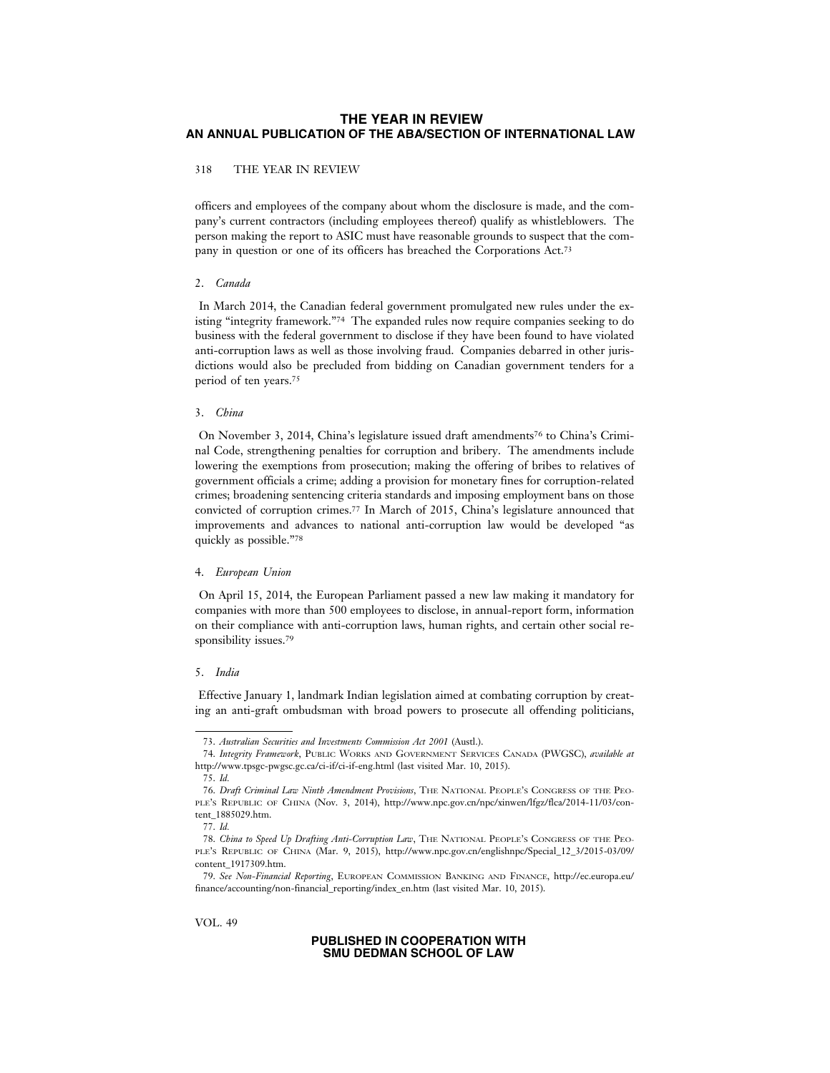# 318 THE YEAR IN REVIEW

officers and employees of the company about whom the disclosure is made, and the company's current contractors (including employees thereof) qualify as whistleblowers. The person making the report to ASIC must have reasonable grounds to suspect that the company in question or one of its officers has breached the Corporations Act.73

#### 2. *Canada*

 In March 2014, the Canadian federal government promulgated new rules under the existing "integrity framework."74 The expanded rules now require companies seeking to do business with the federal government to disclose if they have been found to have violated anti-corruption laws as well as those involving fraud. Companies debarred in other jurisdictions would also be precluded from bidding on Canadian government tenders for a period of ten years.75

#### 3. *China*

On November 3, 2014, China's legislature issued draft amendments<sup>76</sup> to China's Criminal Code, strengthening penalties for corruption and bribery. The amendments include lowering the exemptions from prosecution; making the offering of bribes to relatives of government officials a crime; adding a provision for monetary fines for corruption-related crimes; broadening sentencing criteria standards and imposing employment bans on those convicted of corruption crimes.77 In March of 2015, China's legislature announced that improvements and advances to national anti-corruption law would be developed "as quickly as possible."78

# 4. *European Union*

 On April 15, 2014, the European Parliament passed a new law making it mandatory for companies with more than 500 employees to disclose, in annual-report form, information on their compliance with anti-corruption laws, human rights, and certain other social responsibility issues.<sup>79</sup>

#### 5. *India*

 Effective January 1, landmark Indian legislation aimed at combating corruption by creating an anti-graft ombudsman with broad powers to prosecute all offending politicians,

VOL. 49

<sup>73.</sup> *Australian Securities and Investments Commission Act 2001* (Austl.).

<sup>74.</sup> *Integrity Framework*, PUBLIC WORKS AND GOVERNMENT SERVICES CANADA (PWGSC), *available at* http://www.tpsgc-pwgsc.gc.ca/ci-if/ci-if-eng.html (last visited Mar. 10, 2015).

<sup>75.</sup> *Id.*

<sup>76.</sup> *Draft Criminal Law Ninth Amendment Provisions*, THE NATIONAL PEOPLE'S CONGRESS OF THE PEO-PLE'S REPUBLIC OF CHINA (Nov. 3, 2014), http://www.npc.gov.cn/npc/xinwen/lfgz/flca/2014-11/03/content\_1885029.htm.

<sup>77.</sup> *Id.*

<sup>78.</sup> *China to Speed Up Drafting Anti-Corruption Law*, THE NATIONAL PEOPLE'S CONGRESS OF THE PEO-PLE'S REPUBLIC OF CHINA (Mar. 9, 2015), http://www.npc.gov.cn/englishnpc/Special\_12\_3/2015-03/09/ content\_1917309.htm.

<sup>79.</sup> *See Non-Financial Reporting*, EUROPEAN COMMISSION BANKING AND FINANCE, http://ec.europa.eu/ finance/accounting/non-financial\_reporting/index\_en.htm (last visited Mar. 10, 2015).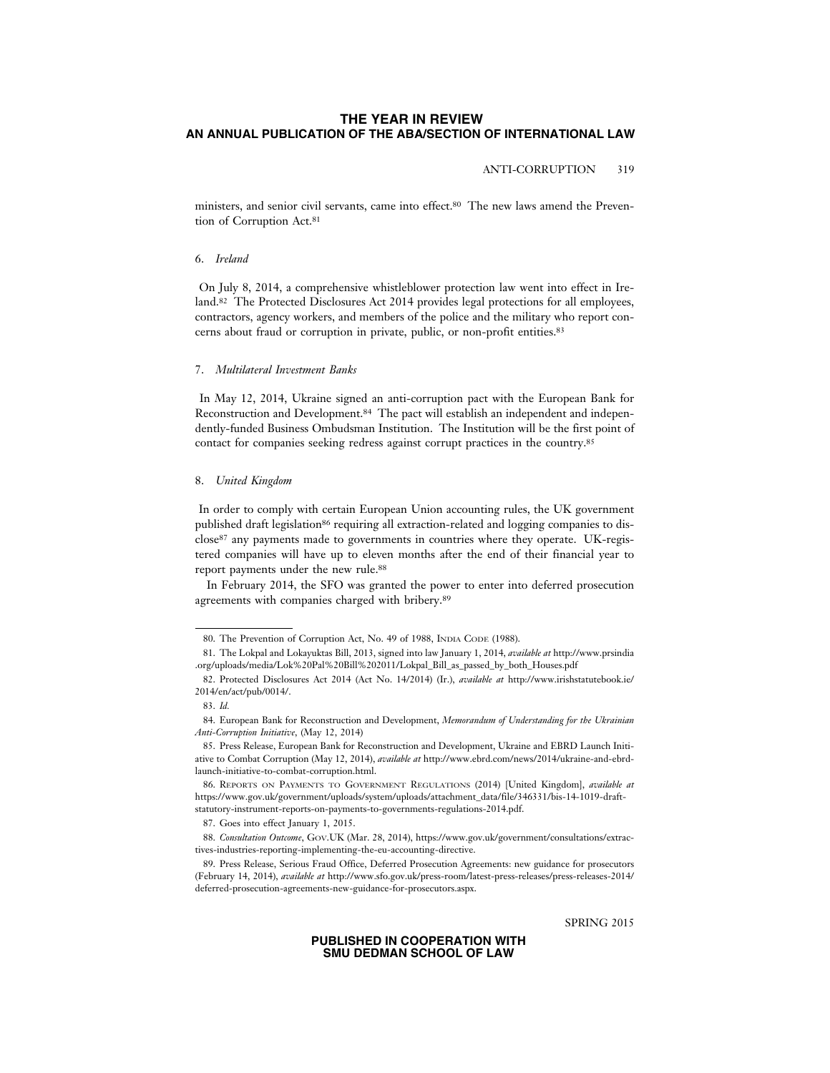# ANTI-CORRUPTION 319

ministers, and senior civil servants, came into effect.80 The new laws amend the Prevention of Corruption Act.<sup>81</sup>

# 6. *Ireland*

 On July 8, 2014, a comprehensive whistleblower protection law went into effect in Ireland.<sup>82</sup> The Protected Disclosures Act 2014 provides legal protections for all employees, contractors, agency workers, and members of the police and the military who report concerns about fraud or corruption in private, public, or non-profit entities.83

### 7. *Multilateral Investment Banks*

 In May 12, 2014, Ukraine signed an anti-corruption pact with the European Bank for Reconstruction and Development.84 The pact will establish an independent and independently-funded Business Ombudsman Institution. The Institution will be the first point of contact for companies seeking redress against corrupt practices in the country.85

#### 8. *United Kingdom*

 In order to comply with certain European Union accounting rules, the UK government published draft legislation<sup>86</sup> requiring all extraction-related and logging companies to disclose87 any payments made to governments in countries where they operate. UK-registered companies will have up to eleven months after the end of their financial year to report payments under the new rule.88

In February 2014, the SFO was granted the power to enter into deferred prosecution agreements with companies charged with bribery.89

SPRING 2015

<sup>80.</sup> The Prevention of Corruption Act, No. 49 of 1988, INDIA CODE (1988).

<sup>81.</sup> The Lokpal and Lokayuktas Bill, 2013, signed into law January 1, 2014, *available at* http://www.prsindia .org/uploads/media/Lok%20Pal%20Bill%202011/Lokpal\_Bill\_as\_passed\_by\_both\_Houses.pdf

<sup>82.</sup> Protected Disclosures Act 2014 (Act No. 14/2014) (Ir.), *available at* http://www.irishstatutebook.ie/ 2014/en/act/pub/0014/.

<sup>83.</sup> *Id.*

<sup>84.</sup> European Bank for Reconstruction and Development, *Memorandum of Understanding for the Ukrainian Anti-Corruption Initiative*, (May 12, 2014)

<sup>85.</sup> Press Release, European Bank for Reconstruction and Development, Ukraine and EBRD Launch Initiative to Combat Corruption (May 12, 2014), *available at* http://www.ebrd.com/news/2014/ukraine-and-ebrdlaunch-initiative-to-combat-corruption.html.

<sup>86.</sup> REPORTS ON PAYMENTS TO GOVERNMENT REGULATIONS (2014) [United Kingdom], *available at* https://www.gov.uk/government/uploads/system/uploads/attachment\_data/file/346331/bis-14-1019-draftstatutory-instrument-reports-on-payments-to-governments-regulations-2014.pdf.

<sup>87.</sup> Goes into effect January 1, 2015.

<sup>88.</sup> *Consultation Outcome*, GOV.UK (Mar. 28, 2014), https://www.gov.uk/government/consultations/extractives-industries-reporting-implementing-the-eu-accounting-directive.

<sup>89.</sup> Press Release, Serious Fraud Office, Deferred Prosecution Agreements: new guidance for prosecutors (February 14, 2014), *available at* http://www.sfo.gov.uk/press-room/latest-press-releases/press-releases-2014/ deferred-prosecution-agreements-new-guidance-for-prosecutors.aspx.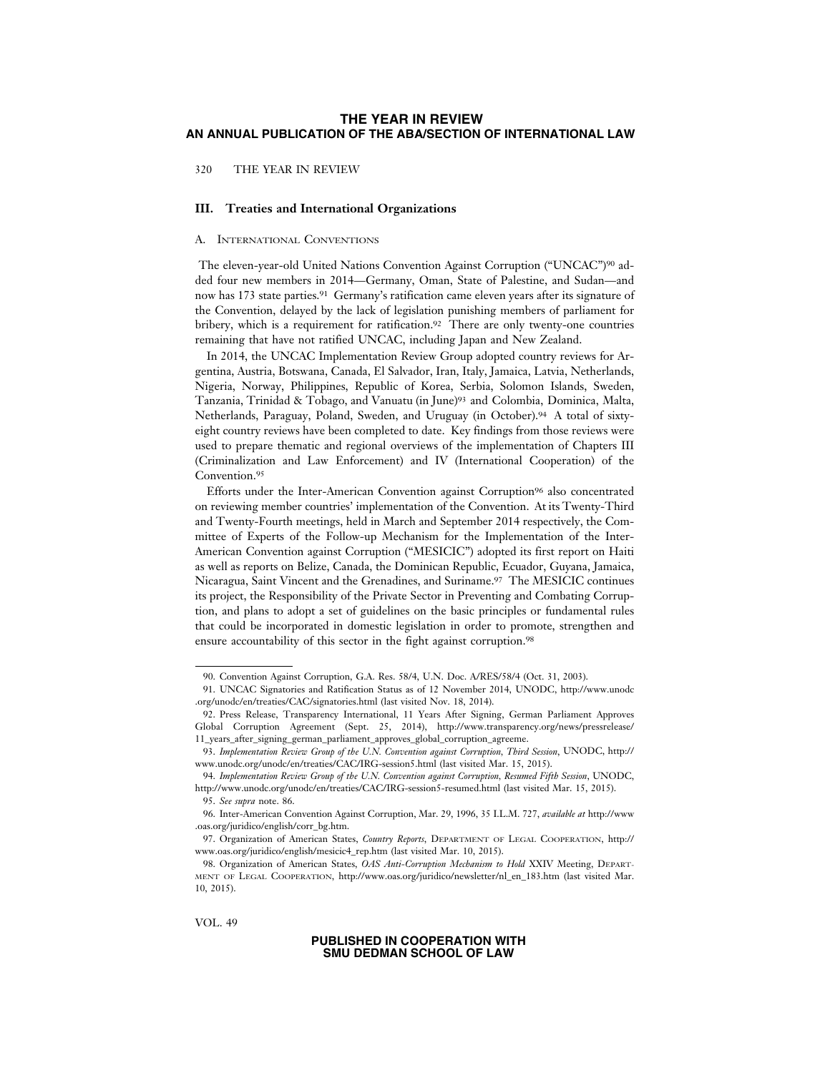320 THE YEAR IN REVIEW

# **III. Treaties and International Organizations**

#### A. INTERNATIONAL CONVENTIONS

 The eleven-year-old United Nations Convention Against Corruption ("UNCAC")90 added four new members in 2014—Germany, Oman, State of Palestine, and Sudan—and now has 173 state parties.91 Germany's ratification came eleven years after its signature of the Convention, delayed by the lack of legislation punishing members of parliament for bribery, which is a requirement for ratification.<sup>92</sup> There are only twenty-one countries remaining that have not ratified UNCAC, including Japan and New Zealand.

In 2014, the UNCAC Implementation Review Group adopted country reviews for Argentina, Austria, Botswana, Canada, El Salvador, Iran, Italy, Jamaica, Latvia, Netherlands, Nigeria, Norway, Philippines, Republic of Korea, Serbia, Solomon Islands, Sweden, Tanzania, Trinidad & Tobago, and Vanuatu (in June)93 and Colombia, Dominica, Malta, Netherlands, Paraguay, Poland, Sweden, and Uruguay (in October).94 A total of sixtyeight country reviews have been completed to date. Key findings from those reviews were used to prepare thematic and regional overviews of the implementation of Chapters III (Criminalization and Law Enforcement) and IV (International Cooperation) of the Convention.<sup>95</sup>

Efforts under the Inter-American Convention against Corruption<sup>96</sup> also concentrated on reviewing member countries' implementation of the Convention. At its Twenty-Third and Twenty-Fourth meetings, held in March and September 2014 respectively, the Committee of Experts of the Follow-up Mechanism for the Implementation of the Inter-American Convention against Corruption ("MESICIC") adopted its first report on Haiti as well as reports on Belize, Canada, the Dominican Republic, Ecuador, Guyana, Jamaica, Nicaragua, Saint Vincent and the Grenadines, and Suriname.97 The MESICIC continues its project, the Responsibility of the Private Sector in Preventing and Combating Corruption, and plans to adopt a set of guidelines on the basic principles or fundamental rules that could be incorporated in domestic legislation in order to promote, strengthen and ensure accountability of this sector in the fight against corruption.<sup>98</sup>

VOL. 49

<sup>90.</sup> Convention Against Corruption, G.A. Res. 58/4, U.N. Doc. A/RES/58/4 (Oct. 31, 2003).

<sup>91.</sup> UNCAC Signatories and Ratification Status as of 12 November 2014, UNODC, http://www.unodc .org/unodc/en/treaties/CAC/signatories.html (last visited Nov. 18, 2014).

<sup>92.</sup> Press Release, Transparency International, 11 Years After Signing, German Parliament Approves Global Corruption Agreement (Sept. 25, 2014), http://www.transparency.org/news/pressrelease/ 11\_years\_after\_signing\_german\_parliament\_approves\_global\_corruption\_agreeme.

<sup>93.</sup> *Implementation Review Group of the U.N. Convention against Corruption, Third Session*, UNODC, http:// www.unodc.org/unodc/en/treaties/CAC/IRG-session5.html (last visited Mar. 15, 2015).

<sup>94.</sup> *Implementation Review Group of the U.N. Convention against Corruption, Resumed Fifth Session*, UNODC, http://www.unodc.org/unodc/en/treaties/CAC/IRG-session5-resumed.html (last visited Mar. 15, 2015).

<sup>95.</sup> *See supra* note. 86.

<sup>96.</sup> Inter-American Convention Against Corruption, Mar. 29, 1996, 35 I.L.M. 727, *available at* http://www .oas.org/juridico/english/corr\_bg.htm.

<sup>97.</sup> Organization of American States, *Country Reports*, DEPARTMENT OF LEGAL COOPERATION, http:// www.oas.org/juridico/english/mesicic4\_rep.htm (last visited Mar. 10, 2015).

<sup>98.</sup> Organization of American States, *OAS Anti-Corruption Mechanism to Hold* XXIV Meeting, DEPART-MENT OF LEGAL COOPERATION, http://www.oas.org/juridico/newsletter/nl\_en\_183.htm (last visited Mar. 10, 2015).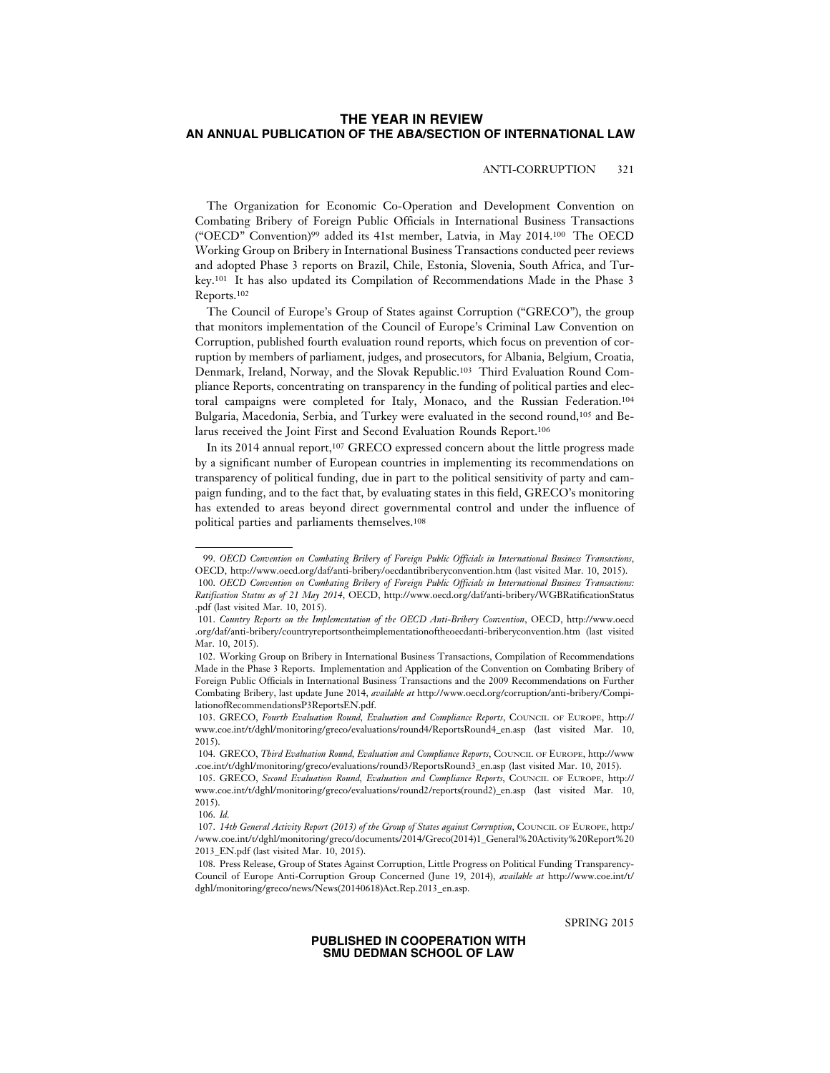# ANTI-CORRUPTION 321

The Organization for Economic Co-Operation and Development Convention on Combating Bribery of Foreign Public Officials in International Business Transactions ("OECD" Convention)99 added its 41st member, Latvia, in May 2014.100 The OECD Working Group on Bribery in International Business Transactions conducted peer reviews and adopted Phase 3 reports on Brazil, Chile, Estonia, Slovenia, South Africa, and Turkey.101 It has also updated its Compilation of Recommendations Made in the Phase 3 Reports.102

The Council of Europe's Group of States against Corruption ("GRECO"), the group that monitors implementation of the Council of Europe's Criminal Law Convention on Corruption, published fourth evaluation round reports, which focus on prevention of corruption by members of parliament, judges, and prosecutors, for Albania, Belgium, Croatia, Denmark, Ireland, Norway, and the Slovak Republic.103 Third Evaluation Round Compliance Reports, concentrating on transparency in the funding of political parties and electoral campaigns were completed for Italy, Monaco, and the Russian Federation.104 Bulgaria, Macedonia, Serbia, and Turkey were evaluated in the second round,105 and Belarus received the Joint First and Second Evaluation Rounds Report.106

In its 2014 annual report,107 GRECO expressed concern about the little progress made by a significant number of European countries in implementing its recommendations on transparency of political funding, due in part to the political sensitivity of party and campaign funding, and to the fact that, by evaluating states in this field, GRECO's monitoring has extended to areas beyond direct governmental control and under the influence of political parties and parliaments themselves.108

SPRING 2015

<sup>99.</sup> *OECD Convention on Combating Bribery of Foreign Public Officials in International Business Transactions*, OECD, http://www.oecd.org/daf/anti-bribery/oecdantibriberyconvention.htm (last visited Mar. 10, 2015). 100. *OECD Convention on Combating Bribery of Foreign Public Officials in International Business Transactions:*

*Ratification Status as of 21 May 2014*, OECD, http://www.oecd.org/daf/anti-bribery/WGBRatificationStatus .pdf (last visited Mar. 10, 2015). 101. *Country Reports on the Implementation of the OECD Anti-Bribery Convention*, OECD, http://www.oecd

<sup>.</sup>org/daf/anti-bribery/countryreportsontheimplementationoftheoecdanti-briberyconvention.htm (last visited Mar. 10, 2015).

<sup>102.</sup> Working Group on Bribery in International Business Transactions, Compilation of Recommendations Made in the Phase 3 Reports. Implementation and Application of the Convention on Combating Bribery of Foreign Public Officials in International Business Transactions and the 2009 Recommendations on Further Combating Bribery, last update June 2014, *available at* http://www.oecd.org/corruption/anti-bribery/CompilationofRecommendationsP3ReportsEN.pdf.

<sup>103.</sup> GRECO, *Fourth Evaluation Round, Evaluation and Compliance Reports*, COUNCIL OF EUROPE, http:// www.coe.int/t/dghl/monitoring/greco/evaluations/round4/ReportsRound4\_en.asp (last visited Mar. 10, 2015).

<sup>104.</sup> GRECO, *Third Evaluation Round, Evaluation and Compliance Reports*, COUNCIL OF EUROPE, http://www .coe.int/t/dghl/monitoring/greco/evaluations/round3/ReportsRound3\_en.asp (last visited Mar. 10, 2015).

<sup>105.</sup> GRECO, *Second Evaluation Round, Evaluation and Compliance Reports*, COUNCIL OF EUROPE, http:// www.coe.int/t/dghl/monitoring/greco/evaluations/round2/reports(round2)\_en.asp (last visited Mar. 10, 2015).

<sup>106.</sup> *Id.*

<sup>107.</sup> *14th General Activity Report (2013) of the Group of States against Corruption*, COUNCIL OF EUROPE, http:/ /www.coe.int/t/dghl/monitoring/greco/documents/2014/Greco(2014)1\_General%20Activity%20Report%20 2013\_EN.pdf (last visited Mar. 10, 2015).

<sup>108.</sup> Press Release, Group of States Against Corruption, Little Progress on Political Funding Transparency-Council of Europe Anti-Corruption Group Concerned (June 19, 2014), *available at* http://www.coe.int/t/ dghl/monitoring/greco/news/News(20140618)Act.Rep.2013\_en.asp.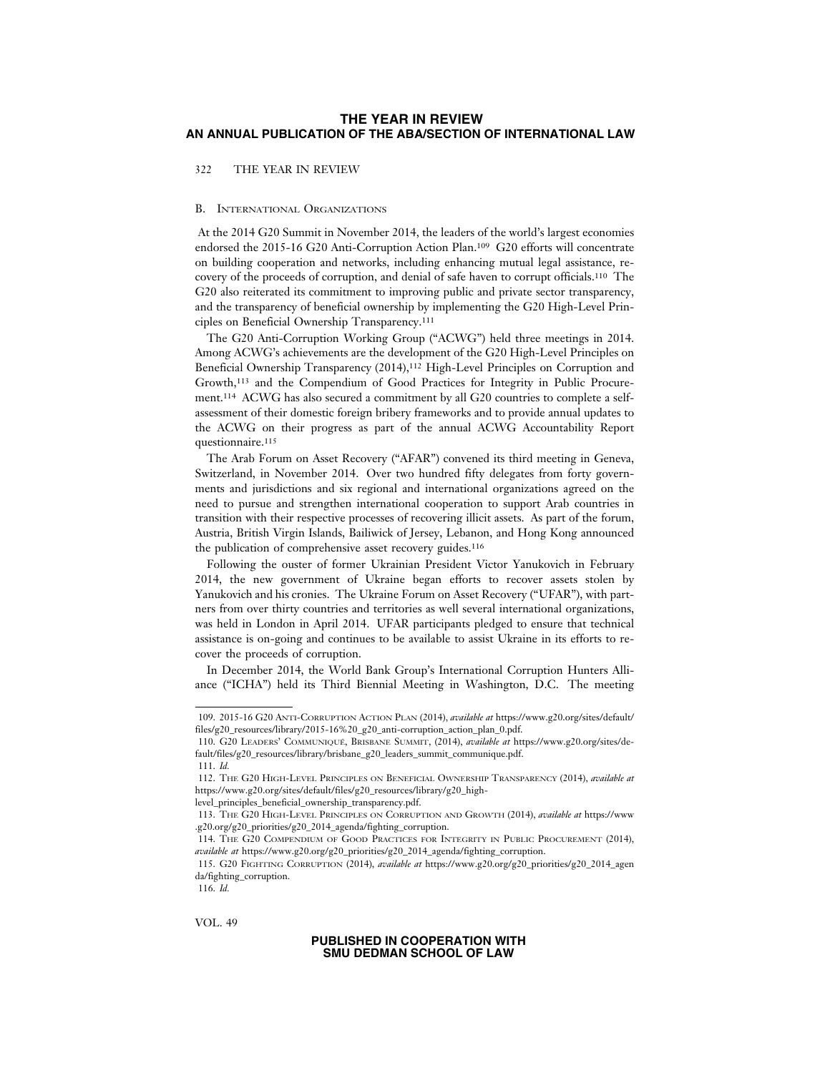322 THE YEAR IN REVIEW

### B. INTERNATIONAL ORGANIZATIONS

 At the 2014 G20 Summit in November 2014, the leaders of the world's largest economies endorsed the 2015-16 G20 Anti-Corruption Action Plan.109 G20 efforts will concentrate on building cooperation and networks, including enhancing mutual legal assistance, recovery of the proceeds of corruption, and denial of safe haven to corrupt officials.110 The G20 also reiterated its commitment to improving public and private sector transparency, and the transparency of beneficial ownership by implementing the G20 High-Level Principles on Beneficial Ownership Transparency.111

The G20 Anti-Corruption Working Group ("ACWG") held three meetings in 2014. Among ACWG's achievements are the development of the G20 High-Level Principles on Beneficial Ownership Transparency (2014),112 High-Level Principles on Corruption and Growth,113 and the Compendium of Good Practices for Integrity in Public Procurement.114 ACWG has also secured a commitment by all G20 countries to complete a selfassessment of their domestic foreign bribery frameworks and to provide annual updates to the ACWG on their progress as part of the annual ACWG Accountability Report questionnaire.<sup>115</sup>

The Arab Forum on Asset Recovery ("AFAR") convened its third meeting in Geneva, Switzerland, in November 2014. Over two hundred fifty delegates from forty governments and jurisdictions and six regional and international organizations agreed on the need to pursue and strengthen international cooperation to support Arab countries in transition with their respective processes of recovering illicit assets. As part of the forum, Austria, British Virgin Islands, Bailiwick of Jersey, Lebanon, and Hong Kong announced the publication of comprehensive asset recovery guides.<sup>116</sup>

Following the ouster of former Ukrainian President Victor Yanukovich in February 2014, the new government of Ukraine began efforts to recover assets stolen by Yanukovich and his cronies. The Ukraine Forum on Asset Recovery ("UFAR"), with partners from over thirty countries and territories as well several international organizations, was held in London in April 2014. UFAR participants pledged to ensure that technical assistance is on-going and continues to be available to assist Ukraine in its efforts to recover the proceeds of corruption.

In December 2014, the World Bank Group's International Corruption Hunters Alliance ("ICHA") held its Third Biennial Meeting in Washington, D.C. The meeting

level\_principles\_beneficial\_ownership\_transparency.pdf.

VOL. 49

<sup>109.</sup> 2015-16 G20 ANTI-CORRUPTION ACTION PLAN (2014), *available at* https://www.g20.org/sites/default/ files/g20\_resources/library/2015-16%20\_g20\_anti-corruption\_action\_plan\_0.pdf.

<sup>110.</sup> G20 LEADERS' COMMUNIQUE´ , BRISBANE SUMMIT, (2014), *available at* https://www.g20.org/sites/default/files/g20\_resources/library/brisbane\_g20\_leaders\_summit\_communique.pdf.

<sup>111.</sup> *Id.*

<sup>112.</sup> THE G20 HIGH-LEVEL PRINCIPLES ON BENEFICIAL OWNERSHIP TRANSPARENCY (2014), *available at* https://www.g20.org/sites/default/files/g20\_resources/library/g20\_high-

<sup>113.</sup> THE G20 HIGH-LEVEL PRINCIPLES ON CORRUPTION AND GROWTH (2014), *available at* https://www .g20.org/g20\_priorities/g20\_2014\_agenda/fighting\_corruption.

<sup>114.</sup> THE G20 COMPENDIUM OF GOOD PRACTICES FOR INTEGRITY IN PUBLIC PROCUREMENT (2014), *available at* https://www.g20.org/g20\_priorities/g20\_2014\_agenda/fighting\_corruption.

<sup>115.</sup> G20 FIGHTING CORRUPTION (2014), *available at* https://www.g20.org/g20\_priorities/g20\_2014\_agen da/fighting\_corruption.

<sup>116.</sup> *Id.*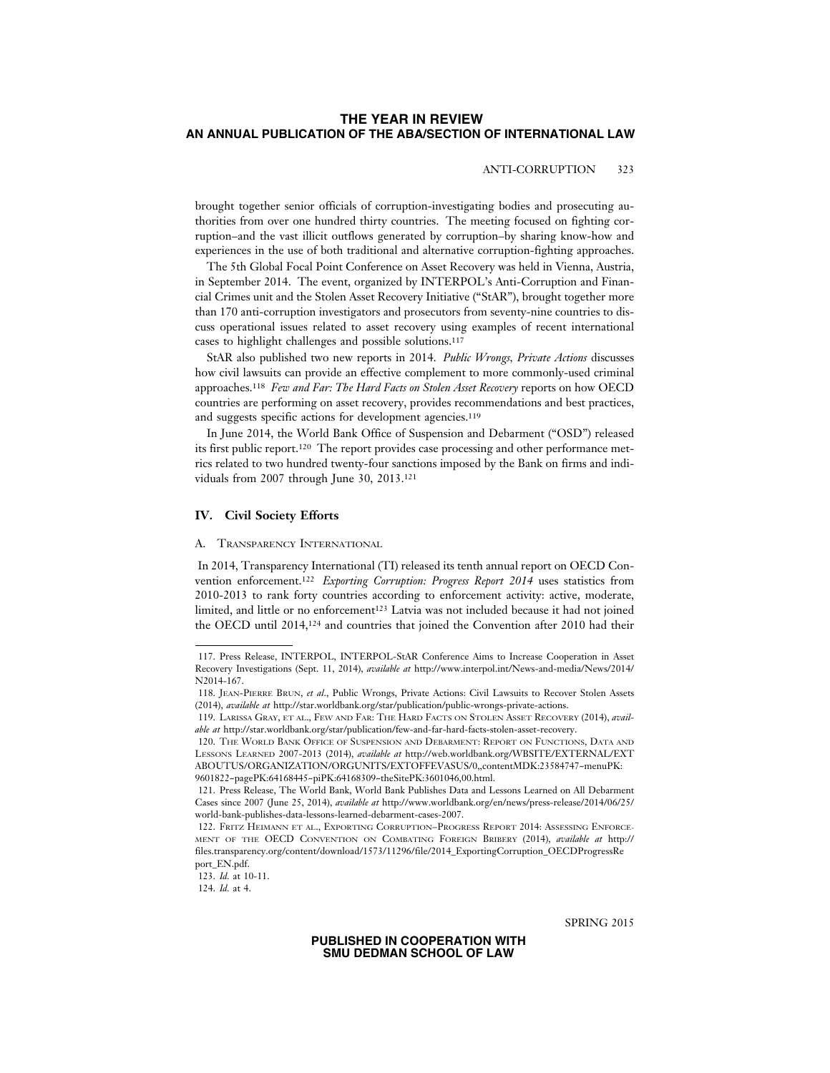# ANTI-CORRUPTION 323

brought together senior officials of corruption-investigating bodies and prosecuting authorities from over one hundred thirty countries. The meeting focused on fighting corruption–and the vast illicit outflows generated by corruption–by sharing know-how and experiences in the use of both traditional and alternative corruption-fighting approaches.

The 5th Global Focal Point Conference on Asset Recovery was held in Vienna, Austria, in September 2014. The event, organized by INTERPOL's Anti-Corruption and Financial Crimes unit and the Stolen Asset Recovery Initiative ("StAR"), brought together more than 170 anti-corruption investigators and prosecutors from seventy-nine countries to discuss operational issues related to asset recovery using examples of recent international cases to highlight challenges and possible solutions.117

StAR also published two new reports in 2014. *Public Wrongs, Private Actions* discusses how civil lawsuits can provide an effective complement to more commonly-used criminal approaches.118 *Few and Far: The Hard Facts on Stolen Asset Recovery* reports on how OECD countries are performing on asset recovery, provides recommendations and best practices, and suggests specific actions for development agencies.<sup>119</sup>

In June 2014, the World Bank Office of Suspension and Debarment ("OSD") released its first public report.120 The report provides case processing and other performance metrics related to two hundred twenty-four sanctions imposed by the Bank on firms and individuals from 2007 through June 30, 2013.121

# **IV. Civil Society Efforts**

#### A. TRANSPARENCY INTERNATIONAL

 In 2014, Transparency International (TI) released its tenth annual report on OECD Convention enforcement.122 *Exporting Corruption: Progress Report 2014* uses statistics from 2010-2013 to rank forty countries according to enforcement activity: active, moderate, limited, and little or no enforcement123 Latvia was not included because it had not joined the OECD until 2014,124 and countries that joined the Convention after 2010 had their

SPRING 2015

<sup>117.</sup> Press Release, INTERPOL, INTERPOL-StAR Conference Aims to Increase Cooperation in Asset Recovery Investigations (Sept. 11, 2014), *available at* http://www.interpol.int/News-and-media/News/2014/ N2014-167.

<sup>118.</sup> JEAN-PIERRE BRUN, *et al*., Public Wrongs, Private Actions: Civil Lawsuits to Recover Stolen Assets (2014), *available at* http://star.worldbank.org/star/publication/public-wrongs-private-actions.

<sup>119.</sup> LARISSA GRAY, ET AL., FEW AND FAR: THE HARD FACTS ON STOLEN ASSET RECOVERY (2014), *available at* http://star.worldbank.org/star/publication/few-and-far-hard-facts-stolen-asset-recovery.

<sup>120.</sup> THE WORLD BANK OFFICE OF SUSPENSION AND DEBARMENT: REPORT ON FUNCTIONS, DATA AND LESSONS LEARNED 2007-2013 (2014), *available at* http://web.worldbank.org/WBSITE/EXTERNAL/EXT ABOUTUS/ORGANIZATION/ORGUNITS/EXTOFFEVASUS/0,,contentMDK:23584747~menuPK: 9601822~pagePK:64168445~piPK:64168309~theSitePK:3601046,00.html.

<sup>121.</sup> Press Release, The World Bank, World Bank Publishes Data and Lessons Learned on All Debarment Cases since 2007 (June 25, 2014), *available at* http://www.worldbank.org/en/news/press-release/2014/06/25/ world-bank-publishes-data-lessons-learned-debarment-cases-2007.

<sup>122.</sup> FRITZ HEIMANN ET AL., EXPORTING CORRUPTION–PROGRESS REPORT 2014: ASSESSING ENFORCE-MENT OF THE OECD CONVENTION ON COMBATING FOREIGN BRIBERY (2014), *available at* http:// files.transparency.org/content/download/1573/11296/file/2014\_ExportingCorruption\_OECDProgressRe port\_EN.pdf.

<sup>123.</sup> *Id.* at 10-11.

<sup>124.</sup> *Id.* at 4.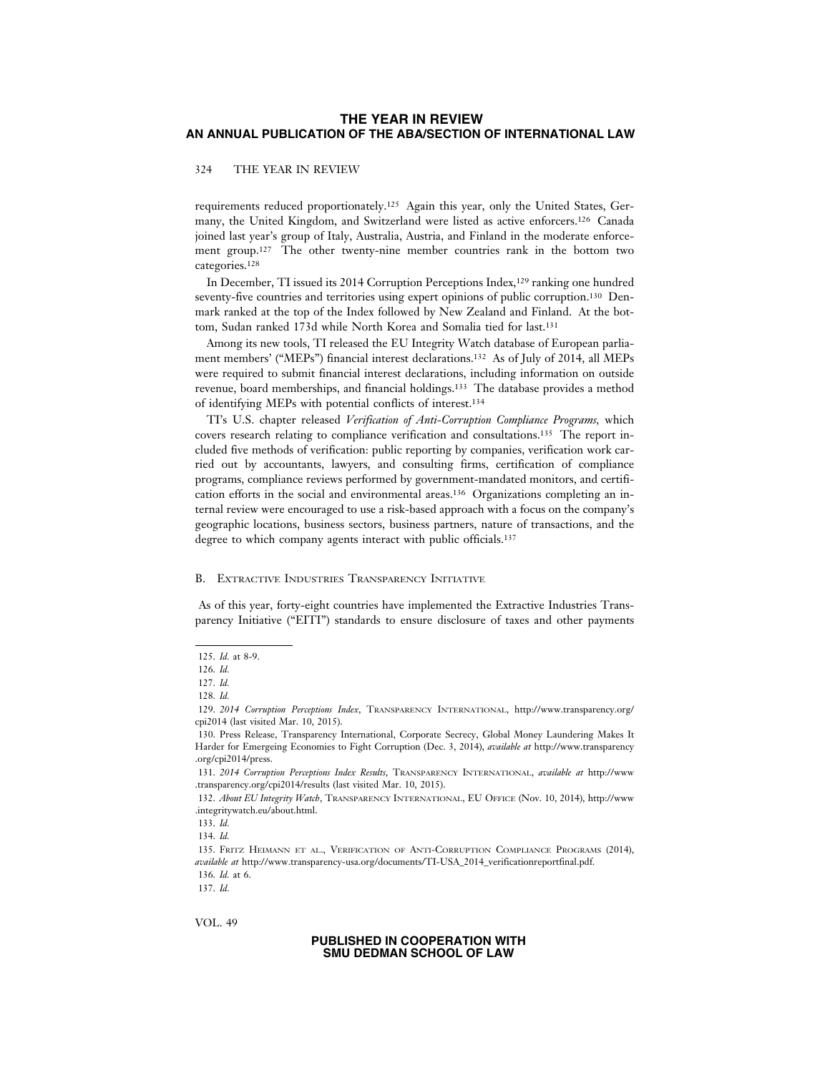## 324 THE YEAR IN REVIEW

requirements reduced proportionately.125 Again this year, only the United States, Germany, the United Kingdom, and Switzerland were listed as active enforcers.126 Canada joined last year's group of Italy, Australia, Austria, and Finland in the moderate enforcement group.127 The other twenty-nine member countries rank in the bottom two categories.128

In December, TI issued its 2014 Corruption Perceptions Index,129 ranking one hundred seventy-five countries and territories using expert opinions of public corruption.130 Denmark ranked at the top of the Index followed by New Zealand and Finland. At the bottom, Sudan ranked 173d while North Korea and Somalia tied for last.131

Among its new tools, TI released the EU Integrity Watch database of European parliament members' ("MEPs") financial interest declarations.132 As of July of 2014, all MEPs were required to submit financial interest declarations, including information on outside revenue, board memberships, and financial holdings.133 The database provides a method of identifying MEPs with potential conflicts of interest.134

TI's U.S. chapter released *Verification of Anti-Corruption Compliance Programs,* which covers research relating to compliance verification and consultations.135 The report included five methods of verification: public reporting by companies, verification work carried out by accountants, lawyers, and consulting firms, certification of compliance programs, compliance reviews performed by government-mandated monitors, and certification efforts in the social and environmental areas.136 Organizations completing an internal review were encouraged to use a risk-based approach with a focus on the company's geographic locations, business sectors, business partners, nature of transactions, and the degree to which company agents interact with public officials.137

### B. EXTRACTIVE INDUSTRIES TRANSPARENCY INITIATIVE

 As of this year, forty-eight countries have implemented the Extractive Industries Transparency Initiative ("EITI") standards to ensure disclosure of taxes and other payments

137. *Id.*

VOL. 49

<sup>125.</sup> *Id.* at 8-9.

<sup>126.</sup> *Id.*

<sup>127.</sup> *Id.*

<sup>128.</sup> *Id.*

<sup>129.</sup> *2014 Corruption Perceptions Index*, TRANSPARENCY INTERNATIONAL, http://www.transparency.org/ cpi2014 (last visited Mar. 10, 2015).

<sup>130.</sup> Press Release, Transparency International, Corporate Secrecy, Global Money Laundering Makes It Harder for Emergeing Economies to Fight Corruption (Dec. 3, 2014), *available at* http://www.transparency .org/cpi2014/press.

<sup>131.</sup> *2014 Corruption Perceptions Index Results*, TRANSPARENCY INTERNATIONAL, *available at* http://www .transparency.org/cpi2014/results (last visited Mar. 10, 2015).

<sup>132.</sup> *About EU Integrity Watch*, TRANSPARENCY INTERNATIONAL, EU OFFICE (Nov. 10, 2014), http://www .integritywatch.eu/about.html.

<sup>133.</sup> *Id.*

<sup>134.</sup> *Id.*

<sup>135.</sup> FRITZ HEIMANN ET AL., VERIFICATION OF ANTI-CORRUPTION COMPLIANCE PROGRAMS (2014), *available at* http://www.transparency-usa.org/documents/TI-USA\_2014\_verificationreportfinal.pdf. 136. *Id.* at 6.